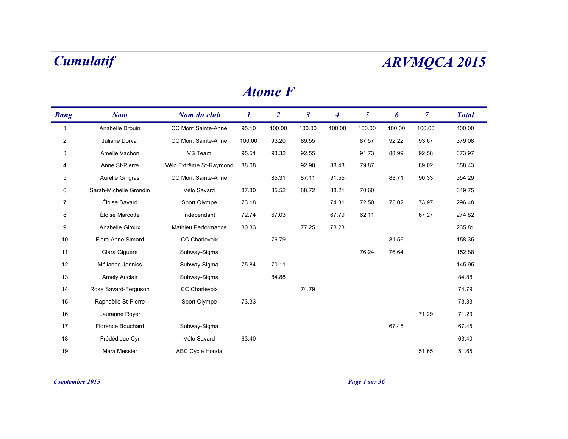### *Atome F*

| Rang           | <b>Nom</b>               | Nom du club             | $\bm{l}$ | $\overline{2}$ | $\boldsymbol{\beta}$ | $\overline{\mathcal{A}}$ | 5      | 6      | $\overline{7}$ | <b>Total</b> |
|----------------|--------------------------|-------------------------|----------|----------------|----------------------|--------------------------|--------|--------|----------------|--------------|
| -1             | Anabelle Drouin          | CC Mont Sainte-Anne     | 95.10    | 100.00         | 100.00               | 100.00                   | 100.00 | 100.00 | 100.00         | 400.00       |
| $\overline{2}$ | Juliane Dorval           | CC Mont Sainte-Anne     | 100.00   | 93.20          | 89.55                |                          | 87.57  | 92.22  | 93.67          | 379.08       |
| 3              | Amélie Vachon            | VS Team                 | 95.51    | 93.32          | 92.55                |                          | 91.73  | 88.99  | 92.58          | 373.97       |
| 4              | Anne St-Pierre           | Vélo Extrême St-Raymond | 88.08    |                | 92.90                | 88.43                    | 79.87  |        | 89.02          | 358.43       |
| 5              | Aurélie Gingras          | CC Mont Sainte-Anne     |          | 85.31          | 87.11                | 91.55                    |        | 83.71  | 90.33          | 354.29       |
| 6              | Sarah-Michelle Grondin   | Vélo Savard             | 87.30    | 85.52          | 88.72                | 88.21                    | 70.60  |        |                | 349.75       |
| 7              | Éloise Savard            | Sport Olympe            | 73.18    |                |                      | 74.31                    | 72.50  | 75.02  | 73.97          | 296.48       |
| 8              | Éloise Marcotte          | Indépendant             | 72.74    | 67.03          |                      | 67.79                    | 62.11  |        | 67.27          | 274.82       |
| 9              | Anabelle Giroux          | Mathieu Performance     | 80.33    |                | 77.25                | 78.23                    |        |        |                | 235.81       |
| 10             | Flore-Anne Simard        | <b>CC Charlevoix</b>    |          | 76.79          |                      |                          |        | 81.56  |                | 158.35       |
| 11             | Clara Giguère            | Subway-Sigma            |          |                |                      |                          | 76.24  | 76.64  |                | 152.88       |
| 12             | Mélianne Jenniss         | Subway-Sigma            | 75.84    | 70.11          |                      |                          |        |        |                | 145.95       |
| 13             | <b>Amely Auclair</b>     | Subway-Sigma            |          | 84.88          |                      |                          |        |        |                | 84.88        |
| 14             | Rose Savard-Ferguson     | <b>CC Charlevoix</b>    |          |                | 74.79                |                          |        |        |                | 74.79        |
| 15             | Raphaëlle St-Pierre      | Sport Olympe            | 73.33    |                |                      |                          |        |        |                | 73.33        |
| 16             | Lauranne Royer           |                         |          |                |                      |                          |        |        | 71.29          | 71.29        |
| 17             | <b>Florence Bouchard</b> | Subway-Sigma            |          |                |                      |                          |        | 67.45  |                | 67.45        |
| 18             | Frédédique Cyr           | Vélo Savard             | 63.40    |                |                      |                          |        |        |                | 63.40        |
| 19             | Mara Messier             | ABC Cycle Honda         |          |                |                      |                          |        |        | 51.65          | 51.65        |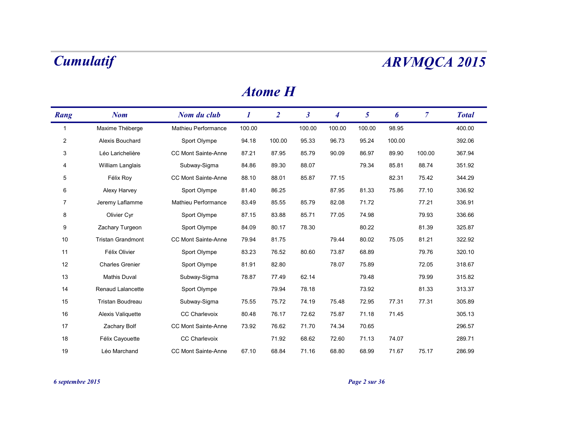| Rang           | <b>Nom</b>               | Nom du club                | $\bm{l}$ | $\overline{2}$ | $\mathfrak{z}$ | $\boldsymbol{4}$ | 5      | 6      | $\mathcal{I}$ | <b>Total</b> |
|----------------|--------------------------|----------------------------|----------|----------------|----------------|------------------|--------|--------|---------------|--------------|
| 1              | Maxime Théberge          | Mathieu Performance        | 100.00   |                | 100.00         | 100.00           | 100.00 | 98.95  |               | 400.00       |
| $\overline{2}$ | Alexis Bouchard          | Sport Olympe               | 94.18    | 100.00         | 95.33          | 96.73            | 95.24  | 100.00 |               | 392.06       |
| 3              | Léo Larichelière         | <b>CC Mont Sainte-Anne</b> | 87.21    | 87.95          | 85.79          | 90.09            | 86.97  | 89.90  | 100.00        | 367.94       |
| 4              | William Langlais         | Subway-Sigma               | 84.86    | 89.30          | 88.07          |                  | 79.34  | 85.81  | 88.74         | 351.92       |
| 5              | Félix Roy                | CC Mont Sainte-Anne        | 88.10    | 88.01          | 85.87          | 77.15            |        | 82.31  | 75.42         | 344.29       |
| 6              | Alexy Harvey             | Sport Olympe               | 81.40    | 86.25          |                | 87.95            | 81.33  | 75.86  | 77.10         | 336.92       |
| 7              | Jeremy Laflamme          | Mathieu Performance        | 83.49    | 85.55          | 85.79          | 82.08            | 71.72  |        | 77.21         | 336.91       |
| 8              | Olivier Cyr              | Sport Olympe               | 87.15    | 83.88          | 85.71          | 77.05            | 74.98  |        | 79.93         | 336.66       |
| 9              | Zachary Turgeon          | Sport Olympe               | 84.09    | 80.17          | 78.30          |                  | 80.22  |        | 81.39         | 325.87       |
| 10             | <b>Tristan Grandmont</b> | <b>CC Mont Sainte-Anne</b> | 79.94    | 81.75          |                | 79.44            | 80.02  | 75.05  | 81.21         | 322.92       |
| 11             | Félix Olivier            | Sport Olympe               | 83.23    | 76.52          | 80.60          | 73.87            | 68.89  |        | 79.76         | 320.10       |
| 12             | <b>Charles Grenier</b>   | Sport Olympe               | 81.91    | 82.80          |                | 78.07            | 75.89  |        | 72.05         | 318.67       |
| 13             | <b>Mathis Duval</b>      | Subway-Sigma               | 78.87    | 77.49          | 62.14          |                  | 79.48  |        | 79.99         | 315.82       |
| 14             | Renaud Lalancette        | Sport Olympe               |          | 79.94          | 78.18          |                  | 73.92  |        | 81.33         | 313.37       |
| 15             | Tristan Boudreau         | Subway-Sigma               | 75.55    | 75.72          | 74.19          | 75.48            | 72.95  | 77.31  | 77.31         | 305.89       |
| 16             | Alexis Valiquette        | <b>CC Charlevoix</b>       | 80.48    | 76.17          | 72.62          | 75.87            | 71.18  | 71.45  |               | 305.13       |
| 17             | Zachary Bolf             | CC Mont Sainte-Anne        | 73.92    | 76.62          | 71.70          | 74.34            | 70.65  |        |               | 296.57       |
| 18             | Félix Cayouette          | <b>CC Charlevoix</b>       |          | 71.92          | 68.62          | 72.60            | 71.13  | 74.07  |               | 289.71       |
| 19             | Léo Marchand             | <b>CC Mont Sainte-Anne</b> | 67.10    | 68.84          | 71.16          | 68.80            | 68.99  | 71.67  | 75.17         | 286.99       |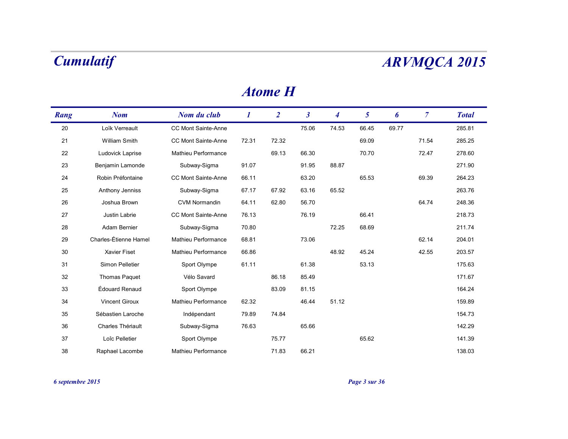| Rang | <b>Nom</b>            | Nom du club                | 1     | $\overline{2}$ | $\boldsymbol{\beta}$ | 4     | 5     | 6     | $\overline{7}$ | <b>Total</b> |
|------|-----------------------|----------------------------|-------|----------------|----------------------|-------|-------|-------|----------------|--------------|
| 20   | Loïk Verreault        | CC Mont Sainte-Anne        |       |                | 75.06                | 74.53 | 66.45 | 69.77 |                | 285.81       |
| 21   | <b>William Smith</b>  | CC Mont Sainte-Anne        | 72.31 | 72.32          |                      |       | 69.09 |       | 71.54          | 285.25       |
| 22   | Ludovick Laprise      | Mathieu Performance        |       | 69.13          | 66.30                |       | 70.70 |       | 72.47          | 278.60       |
| 23   | Benjamin Lamonde      | Subway-Sigma               | 91.07 |                | 91.95                | 88.87 |       |       |                | 271.90       |
| 24   | Robin Préfontaine     | CC Mont Sainte-Anne        | 66.11 |                | 63.20                |       | 65.53 |       | 69.39          | 264.23       |
| 25   | Anthony Jenniss       | Subway-Sigma               | 67.17 | 67.92          | 63.16                | 65.52 |       |       |                | 263.76       |
| 26   | Joshua Brown          | <b>CVM Normandin</b>       | 64.11 | 62.80          | 56.70                |       |       |       | 64.74          | 248.36       |
| 27   | Justin Labrie         | CC Mont Sainte-Anne        | 76.13 |                | 76.19                |       | 66.41 |       |                | 218.73       |
| 28   | Adam Bernier          | Subway-Sigma               | 70.80 |                |                      | 72.25 | 68.69 |       |                | 211.74       |
| 29   | Charles-Étienne Hamel | Mathieu Performance        | 68.81 |                | 73.06                |       |       |       | 62.14          | 204.01       |
| 30   | Xavier Fiset          | Mathieu Performance        | 66.86 |                |                      | 48.92 | 45.24 |       | 42.55          | 203.57       |
| 31   | Simon Pelletier       | Sport Olympe               | 61.11 |                | 61.38                |       | 53.13 |       |                | 175.63       |
| 32   | <b>Thomas Paquet</b>  | Vélo Savard                |       | 86.18          | 85.49                |       |       |       |                | 171.67       |
| 33   | Édouard Renaud        | Sport Olympe               |       | 83.09          | 81.15                |       |       |       |                | 164.24       |
| 34   | <b>Vincent Giroux</b> | Mathieu Performance        | 62.32 |                | 46.44                | 51.12 |       |       |                | 159.89       |
| 35   | Sébastien Laroche     | Indépendant                | 79.89 | 74.84          |                      |       |       |       |                | 154.73       |
| 36   | Charles Thériault     | Subway-Sigma               | 76.63 |                | 65.66                |       |       |       |                | 142.29       |
| 37   | Loîc Pelletier        | Sport Olympe               |       | 75.77          |                      |       | 65.62 |       |                | 141.39       |
| 38   | Raphael Lacombe       | <b>Mathieu Performance</b> |       | 71.83          | 66.21                |       |       |       |                | 138.03       |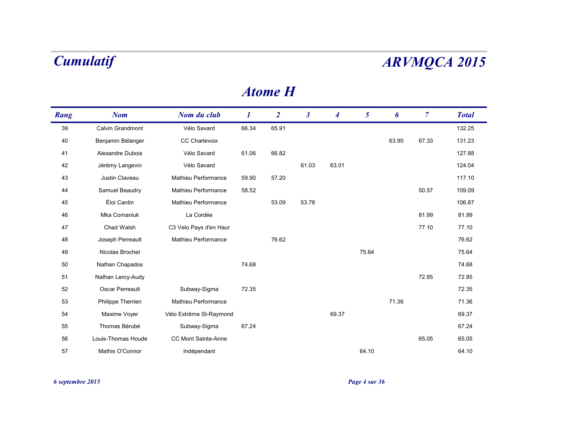| Rang | <b>Nom</b>         | Nom du club                | $\bm{l}$ | $\overline{2}$ | $\boldsymbol{\beta}$ | $\overline{\mathcal{A}}$ | 5     | 6     | $\overline{7}$ | <b>Total</b> |
|------|--------------------|----------------------------|----------|----------------|----------------------|--------------------------|-------|-------|----------------|--------------|
| 39   | Calvin Grandmont   | Vélo Savard                | 66.34    | 65.91          |                      |                          |       |       |                | 132.25       |
| 40   | Benjamin Bélanger  | <b>CC Charlevoix</b>       |          |                |                      |                          |       | 63.90 | 67.33          | 131.23       |
| 41   | Alexandre Dubois   | Vélo Savard                | 61.06    | 66.82          |                      |                          |       |       |                | 127.88       |
| 42   | Jérémy Langevin    | Vélo Savard                |          |                | 61.03                | 63.01                    |       |       |                | 124.04       |
| 43   | Justin Claveau     | Mathieu Performance        | 59.90    | 57.20          |                      |                          |       |       |                | 117.10       |
| 44   | Samuel Beaudry     | Mathieu Performance        | 58.52    |                |                      |                          |       |       | 50.57          | 109.09       |
| 45   | Éloi Cantin        | Mathieu Performance        |          | 53.09          | 53.78                |                          |       |       |                | 106.87       |
| 46   | Mka Comaniuk       | La Cordée                  |          |                |                      |                          |       |       | 81.99          | 81.99        |
| 47   | Chad Walsh         | C3 Velo Pays d'en Haur     |          |                |                      |                          |       |       | 77.10          | 77.10        |
| 48   | Joseph Perreault   | Mathieu Performance        |          | 76.62          |                      |                          |       |       |                | 76.62        |
| 49   | Nicolas Brochet    |                            |          |                |                      |                          | 75.64 |       |                | 75.64        |
| 50   | Nathan Chapados    |                            | 74.68    |                |                      |                          |       |       |                | 74.68        |
| 51   | Nathan Leroy-Audy  |                            |          |                |                      |                          |       |       | 72.85          | 72.85        |
| 52   | Oscar Perreault    | Subway-Sigma               | 72.35    |                |                      |                          |       |       |                | 72.35        |
| 53   | Philippe Therrien  | Mathieu Performance        |          |                |                      |                          |       | 71.36 |                | 71.36        |
| 54   | Maxime Voyer       | Vélo Extrême St-Raymond    |          |                |                      | 69.37                    |       |       |                | 69.37        |
| 55   | Thomas Bérubé      | Subway-Sigma               | 67.24    |                |                      |                          |       |       |                | 67.24        |
| 56   | Louis-Thomas Houde | <b>CC Mont Sainte-Anne</b> |          |                |                      |                          |       |       | 65.05          | 65.05        |
| 57   | Mathis O'Connor    | Indépendant                |          |                |                      |                          | 64.10 |       |                | 64.10        |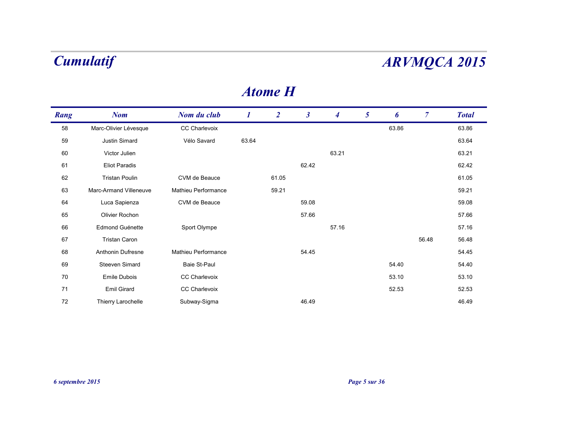| Rang | <b>Nom</b>             | Nom du club                | $\boldsymbol{l}$ | $\overline{2}$ | $\boldsymbol{\beta}$ | $\boldsymbol{4}$ | 5 | 6     | $\overline{7}$ | <b>Total</b> |
|------|------------------------|----------------------------|------------------|----------------|----------------------|------------------|---|-------|----------------|--------------|
| 58   | Marc-Olivier Lévesque  | CC Charlevoix              |                  |                |                      |                  |   | 63.86 |                | 63.86        |
| 59   | Justin Simard          | Vélo Savard                | 63.64            |                |                      |                  |   |       |                | 63.64        |
| 60   | Victor Julien          |                            |                  |                |                      | 63.21            |   |       |                | 63.21        |
| 61   | <b>Eliot Paradis</b>   |                            |                  |                | 62.42                |                  |   |       |                | 62.42        |
| 62   | <b>Tristan Poulin</b>  | CVM de Beauce              |                  | 61.05          |                      |                  |   |       |                | 61.05        |
| 63   | Marc-Armand Villeneuve | <b>Mathieu Performance</b> |                  | 59.21          |                      |                  |   |       |                | 59.21        |
| 64   | Luca Sapienza          | CVM de Beauce              |                  |                | 59.08                |                  |   |       |                | 59.08        |
| 65   | Olivier Rochon         |                            |                  |                | 57.66                |                  |   |       |                | 57.66        |
| 66   | Edmond Guénette        | Sport Olympe               |                  |                |                      | 57.16            |   |       |                | 57.16        |
| 67   | <b>Tristan Caron</b>   |                            |                  |                |                      |                  |   |       | 56.48          | 56.48        |
| 68   | Anthonin Dufresne      | Mathieu Performance        |                  |                | 54.45                |                  |   |       |                | 54.45        |
| 69   | Steeven Simard         | Baie St-Paul               |                  |                |                      |                  |   | 54.40 |                | 54.40        |
| 70   | Emile Dubois           | <b>CC Charlevoix</b>       |                  |                |                      |                  |   | 53.10 |                | 53.10        |
| 71   | Emil Girard            | CC Charlevoix              |                  |                |                      |                  |   | 52.53 |                | 52.53        |
| 72   | Thierry Larochelle     | Subway-Sigma               |                  |                | 46.49                |                  |   |       |                | 46.49        |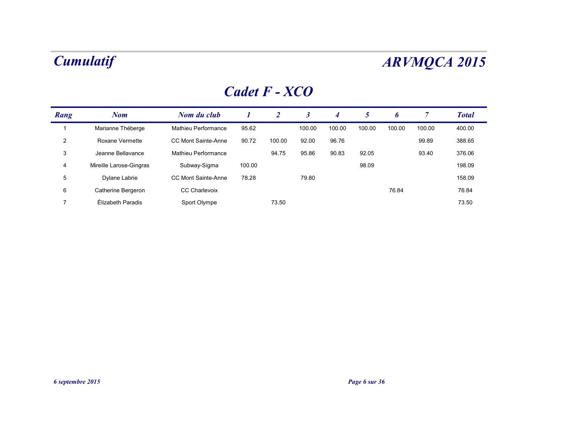## *Cadet F - XCO*

| Rang | <b>Nom</b>              | Nom du club          |        | 2      |        | 4      | 5      | 6      |        | <b>Total</b> |
|------|-------------------------|----------------------|--------|--------|--------|--------|--------|--------|--------|--------------|
|      | Marianne Théberge       | Mathieu Performance  | 95.62  |        | 100.00 | 100.00 | 100.00 | 100.00 | 100.00 | 400.00       |
| 2    | Roxane Vermette         | CC Mont Sainte-Anne  | 90.72  | 100.00 | 92.00  | 96.76  |        |        | 99.89  | 388.65       |
| 3    | Jeanne Bellavance       | Mathieu Performance  |        | 94.75  | 95.86  | 90.83  | 92.05  |        | 93.40  | 376.06       |
| 4    | Mireille Larose-Gingras | Subway-Sigma         | 100.00 |        |        |        | 98.09  |        |        | 198.09       |
| 5    | Dylane Labrie           | CC Mont Sainte-Anne  | 78.28  |        | 79.80  |        |        |        |        | 158.09       |
| 6    | Catherine Bergeron      | <b>CC Charlevoix</b> |        |        |        |        |        | 76.84  |        | 76.84        |
|      | Élizabeth Paradis       | Sport Olympe         |        | 73.50  |        |        |        |        |        | 73.50        |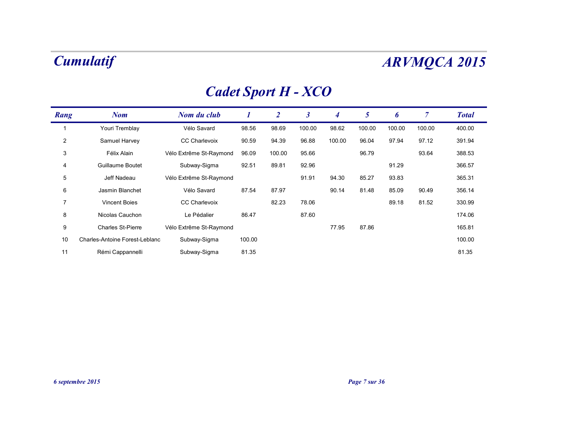## *Cadet Sport H - XCO*

| Rang           | <b>Nom</b>                     | Nom du club             |        | $\boldsymbol{2}$ | 3      | 4      | 5      | 6      | 7      | <b>Total</b> |
|----------------|--------------------------------|-------------------------|--------|------------------|--------|--------|--------|--------|--------|--------------|
|                | Youri Tremblay                 | Vélo Savard             | 98.56  | 98.69            | 100.00 | 98.62  | 100.00 | 100.00 | 100.00 | 400.00       |
| $\overline{2}$ | Samuel Harvey                  | <b>CC Charlevoix</b>    | 90.59  | 94.39            | 96.88  | 100.00 | 96.04  | 97.94  | 97.12  | 391.94       |
| 3              | Félix Alain                    | Vélo Extrême St-Raymond | 96.09  | 100.00           | 95.66  |        | 96.79  |        | 93.64  | 388.53       |
| 4              | Guillaume Boutet               | Subway-Sigma            | 92.51  | 89.81            | 92.96  |        |        | 91.29  |        | 366.57       |
| 5              | Jeff Nadeau                    | Vélo Extrême St-Raymond |        |                  | 91.91  | 94.30  | 85.27  | 93.83  |        | 365.31       |
| 6              | Jasmin Blanchet                | Vélo Savard             | 87.54  | 87.97            |        | 90.14  | 81.48  | 85.09  | 90.49  | 356.14       |
| $\overline{7}$ | <b>Vincent Boies</b>           | <b>CC Charlevoix</b>    |        | 82.23            | 78.06  |        |        | 89.18  | 81.52  | 330.99       |
| 8              | Nicolas Cauchon                | Le Pédalier             | 86.47  |                  | 87.60  |        |        |        |        | 174.06       |
| 9              | <b>Charles St-Pierre</b>       | Vélo Extrême St-Raymond |        |                  |        | 77.95  | 87.86  |        |        | 165.81       |
| 10             | Charles-Antoine Forest-Leblanc | Subway-Sigma            | 100.00 |                  |        |        |        |        |        | 100.00       |
| 11             | Rémi Cappannelli               | Subway-Sigma            | 81.35  |                  |        |        |        |        |        | 81.35        |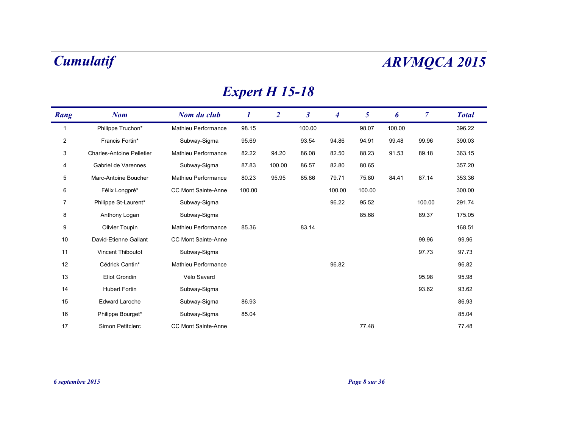## *Expert H 15-18*

| Rang           | <b>Nom</b>                       | Nom du club                | 1      | $\overline{2}$ | $\boldsymbol{\beta}$ | 4      | 5      | 6      | $\mathcal{I}$ | <b>Total</b> |
|----------------|----------------------------------|----------------------------|--------|----------------|----------------------|--------|--------|--------|---------------|--------------|
| $\mathbf{1}$   | Philippe Truchon*                | Mathieu Performance        | 98.15  |                | 100.00               |        | 98.07  | 100.00 |               | 396.22       |
| $\overline{2}$ | Francis Fortin*                  | Subway-Sigma               | 95.69  |                | 93.54                | 94.86  | 94.91  | 99.48  | 99.96         | 390.03       |
| 3              | <b>Charles-Antoine Pelletier</b> | <b>Mathieu Performance</b> | 82.22  | 94.20          | 86.08                | 82.50  | 88.23  | 91.53  | 89.18         | 363.15       |
| 4              | Gabriel de Varennes              | Subway-Sigma               | 87.83  | 100.00         | 86.57                | 82.80  | 80.65  |        |               | 357.20       |
| 5              | Marc-Antoine Boucher             | Mathieu Performance        | 80.23  | 95.95          | 85.86                | 79.71  | 75.80  | 84.41  | 87.14         | 353.36       |
| 6              | Félix Longpré*                   | CC Mont Sainte-Anne        | 100.00 |                |                      | 100.00 | 100.00 |        |               | 300.00       |
| $\overline{7}$ | Philippe St-Laurent*             | Subway-Sigma               |        |                |                      | 96.22  | 95.52  |        | 100.00        | 291.74       |
| 8              | Anthony Logan                    | Subway-Sigma               |        |                |                      |        | 85.68  |        | 89.37         | 175.05       |
| 9              | Olivier Toupin                   | Mathieu Performance        | 85.36  |                | 83.14                |        |        |        |               | 168.51       |
| 10             | David-Etienne Gallant            | CC Mont Sainte-Anne        |        |                |                      |        |        |        | 99.96         | 99.96        |
| 11             | Vincent Thiboutot                | Subway-Sigma               |        |                |                      |        |        |        | 97.73         | 97.73        |
| 12             | Cédrick Cantin*                  | Mathieu Performance        |        |                |                      | 96.82  |        |        |               | 96.82        |
| 13             | Eliot Grondin                    | Vélo Savard                |        |                |                      |        |        |        | 95.98         | 95.98        |
| 14             | <b>Hubert Fortin</b>             | Subway-Sigma               |        |                |                      |        |        |        | 93.62         | 93.62        |
| 15             | <b>Edward Laroche</b>            | Subway-Sigma               | 86.93  |                |                      |        |        |        |               | 86.93        |
| 16             | Philippe Bourget*                | Subway-Sigma               | 85.04  |                |                      |        |        |        |               | 85.04        |
| 17             | Simon Petitclerc                 | <b>CC Mont Sainte-Anne</b> |        |                |                      |        | 77.48  |        |               | 77.48        |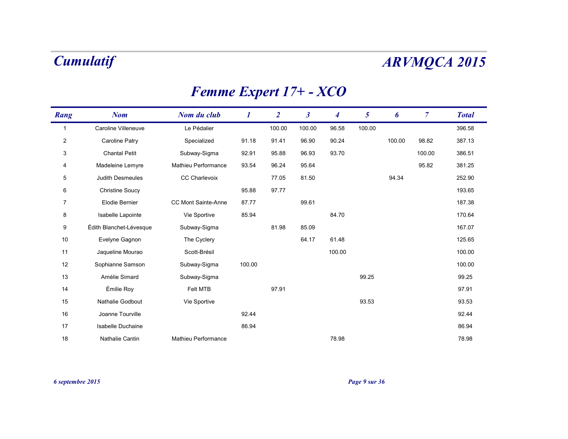## *Femme Expert 17+ - XCO*

| Rang           | <b>Nom</b>              | Nom du club         | 1      | $\overline{2}$ | $\boldsymbol{\beta}$ | 4      | 5      | 6      | $\overline{7}$ | <b>Total</b> |
|----------------|-------------------------|---------------------|--------|----------------|----------------------|--------|--------|--------|----------------|--------------|
| 1              | Caroline Villeneuve     | Le Pédalier         |        | 100.00         | 100.00               | 96.58  | 100.00 |        |                | 396.58       |
| $\overline{2}$ | Caroline Patry          | Specialized         | 91.18  | 91.41          | 96.90                | 90.24  |        | 100.00 | 98.82          | 387.13       |
| 3              | <b>Chantal Petit</b>    | Subway-Sigma        | 92.91  | 95.88          | 96.93                | 93.70  |        |        | 100.00         | 386.51       |
| 4              | Madeleine Lemyre        | Mathieu Performance | 93.54  | 96.24          | 95.64                |        |        |        | 95.82          | 381.25       |
| 5              | Judith Desmeules        | CC Charlevoix       |        | 77.05          | 81.50                |        |        | 94.34  |                | 252.90       |
| 6              | <b>Christine Soucy</b>  |                     | 95.88  | 97.77          |                      |        |        |        |                | 193.65       |
| 7              | Elodie Bernier          | CC Mont Sainte-Anne | 87.77  |                | 99.61                |        |        |        |                | 187.38       |
| 8              | Isabelle Lapointe       | Vie Sportive        | 85.94  |                |                      | 84.70  |        |        |                | 170.64       |
| 9              | Édith Blanchet-Lévesque | Subway-Sigma        |        | 81.98          | 85.09                |        |        |        |                | 167.07       |
| 10             | Evelyne Gagnon          | The Cyclery         |        |                | 64.17                | 61.48  |        |        |                | 125.65       |
| 11             | Jaqueline Mourao        | Scott-Brésil        |        |                |                      | 100.00 |        |        |                | 100.00       |
| 12             | Sophianne Samson        | Subway-Sigma        | 100.00 |                |                      |        |        |        |                | 100.00       |
| 13             | Amélie Simard           | Subway-Sigma        |        |                |                      |        | 99.25  |        |                | 99.25        |
| 14             | Émilie Roy              | Felt MTB            |        | 97.91          |                      |        |        |        |                | 97.91        |
| 15             | Nathalie Godbout        | Vie Sportive        |        |                |                      |        | 93.53  |        |                | 93.53        |
| 16             | Joanne Tourville        |                     | 92.44  |                |                      |        |        |        |                | 92.44        |
| 17             | Isabelle Duchaine       |                     | 86.94  |                |                      |        |        |        |                | 86.94        |
| 18             | Nathalie Cantin         | Mathieu Performance |        |                |                      | 78.98  |        |        |                | 78.98        |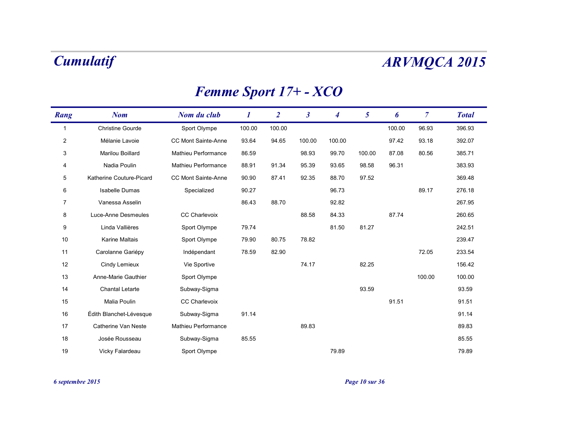## *Femme Sport 17+ - XCO*

| Rang           | <b>Nom</b>               | Nom du club          | 1      | $\overline{2}$ | $\mathfrak{z}$ | 4      | 5      | 6      | $\overline{7}$ | <b>Total</b> |
|----------------|--------------------------|----------------------|--------|----------------|----------------|--------|--------|--------|----------------|--------------|
| $\mathbf{1}$   | <b>Christine Gourde</b>  | Sport Olympe         | 100.00 | 100.00         |                |        |        | 100.00 | 96.93          | 396.93       |
| $\overline{c}$ | Mélanie Lavoie           | CC Mont Sainte-Anne  | 93.64  | 94.65          | 100.00         | 100.00 |        | 97.42  | 93.18          | 392.07       |
| 3              | Marilou Boillard         | Mathieu Performance  | 86.59  |                | 98.93          | 99.70  | 100.00 | 87.08  | 80.56          | 385.71       |
| 4              | Nadia Poulin             | Mathieu Performance  | 88.91  | 91.34          | 95.39          | 93.65  | 98.58  | 96.31  |                | 383.93       |
| 5              | Katherine Couture-Picard | CC Mont Sainte-Anne  | 90.90  | 87.41          | 92.35          | 88.70  | 97.52  |        |                | 369.48       |
| 6              | Isabelle Dumas           | Specialized          | 90.27  |                |                | 96.73  |        |        | 89.17          | 276.18       |
| 7              | Vanessa Asselin          |                      | 86.43  | 88.70          |                | 92.82  |        |        |                | 267.95       |
| 8              | Luce-Anne Desmeules      | <b>CC Charlevoix</b> |        |                | 88.58          | 84.33  |        | 87.74  |                | 260.65       |
| 9              | Linda Vallières          | Sport Olympe         | 79.74  |                |                | 81.50  | 81.27  |        |                | 242.51       |
| 10             | Karine Maltais           | Sport Olympe         | 79.90  | 80.75          | 78.82          |        |        |        |                | 239.47       |
| 11             | Carolanne Gariépy        | Indépendant          | 78.59  | 82.90          |                |        |        |        | 72.05          | 233.54       |
| 12             | Cindy Lemieux            | Vie Sportive         |        |                | 74.17          |        | 82.25  |        |                | 156.42       |
| 13             | Anne-Marie Gauthier      | Sport Olympe         |        |                |                |        |        |        | 100.00         | 100.00       |
| 14             | <b>Chantal Letarte</b>   | Subway-Sigma         |        |                |                |        | 93.59  |        |                | 93.59        |
| 15             | Malia Poulin             | CC Charlevoix        |        |                |                |        |        | 91.51  |                | 91.51        |
| 16             | Édith Blanchet-Lévesque  | Subway-Sigma         | 91.14  |                |                |        |        |        |                | 91.14        |
| 17             | Catherine Van Neste      | Mathieu Performance  |        |                | 89.83          |        |        |        |                | 89.83        |
| 18             | Josée Rousseau           | Subway-Sigma         | 85.55  |                |                |        |        |        |                | 85.55        |
| 19             | Vicky Falardeau          | Sport Olympe         |        |                |                | 79.89  |        |        |                | 79.89        |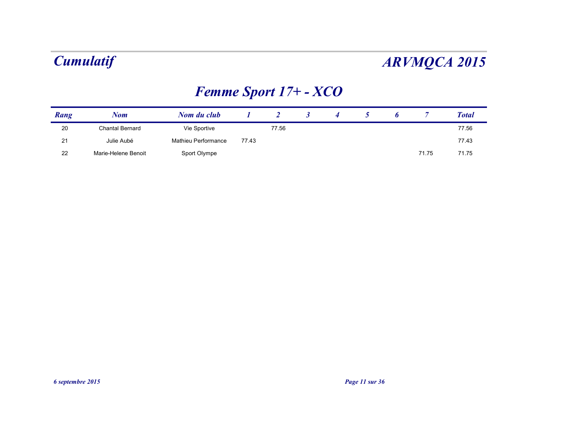## *Femme Sport 17+ - XCO*

| Rang | Nom                 | Nom du club         |       |       |  |  |       | <b>Total</b> |
|------|---------------------|---------------------|-------|-------|--|--|-------|--------------|
| 20   | Chantal Bernard     | Vie Sportive        |       | 77.56 |  |  |       | 77.56        |
| 21   | Julie Aubé          | Mathieu Performance | 77.43 |       |  |  |       | 77.43        |
| 22   | Marie-Helene Benoit | Sport Olympe        |       |       |  |  | 71.75 | 71.75        |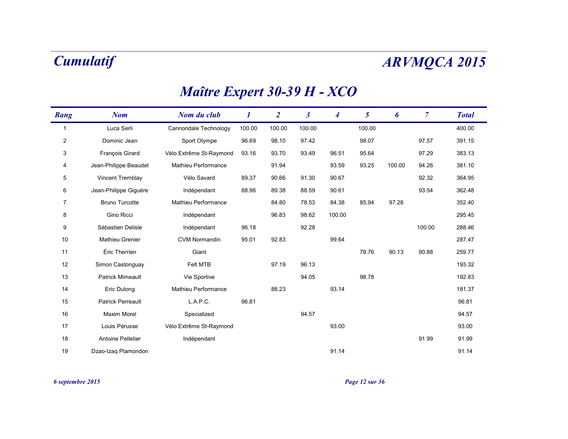| Rang           | <b>Nom</b>               | Nom du club             | 1      | $\overline{2}$ | $\boldsymbol{\beta}$ | 4      | 5      | 6      | $\overline{7}$ | <b>Total</b> |
|----------------|--------------------------|-------------------------|--------|----------------|----------------------|--------|--------|--------|----------------|--------------|
| 1              | Luca Serli               | Cannondale Technology   | 100.00 | 100.00         | 100.00               |        | 100.00 |        |                | 400.00       |
| $\overline{2}$ | Dominic Jean             | Sport Olympe            | 96.69  | 98.10          | 97.42                |        | 98.07  |        | 97.57          | 391.15       |
| 3              | François Girard          | Vélo Extrême St-Raymond | 93.16  | 93.70          | 93.49                | 96.51  | 95.64  |        | 97.29          | 383.13       |
| 4              | Jean-Philippe Beaudet    | Mathieu Performance     |        | 91.94          |                      | 93.59  | 93.25  | 100.00 | 94.26          | 381.10       |
| 5              | Vincent Tremblay         | Vélo Savard             | 89.37  | 90.66          | 91.30                | 90.67  |        |        | 92.32          | 364.95       |
| 6              | Jean-Philippe Giguère    | Indépendant             | 88.96  | 89.38          | 88.59                | 90.61  |        |        | 93.54          | 362.48       |
| 7              | <b>Bruno Turcotte</b>    | Mathieu Performance     |        | 84.80          | 78.53                | 84.38  | 85.94  | 97.28  |                | 352.40       |
| 8              | Gino Ricci               | Indépendant             |        | 96.83          | 98.62                | 100.00 |        |        |                | 295.45       |
| 9              | Sébastien Delisle        | Indépendant             | 96.18  |                | 92.28                |        |        |        | 100.00         | 288.46       |
| 10             | Mathieu Grenier          | <b>CVM Normandin</b>    | 95.01  | 92.83          |                      | 99.64  |        |        |                | 287.47       |
| 11             | Éric Therrien            | Giant                   |        |                |                      |        | 78.76  | 90.13  | 90.88          | 259.77       |
| 12             | Simon Castonguay         | Felt MTB                |        | 97.19          | 96.13                |        |        |        |                | 193.32       |
| 13             | <b>Patrick Mimeault</b>  | Vie Sportive            |        |                | 94.05                |        | 98.78  |        |                | 192.83       |
| 14             | Eric Dulong              | Mathieu Performance     |        | 88.23          |                      | 93.14  |        |        |                | 181.37       |
| 15             | <b>Patrick Perreault</b> | L.A.P.C.                | 96.81  |                |                      |        |        |        |                | 96.81        |
| 16             | <b>Maxim Morel</b>       | Specialized             |        |                | 94.57                |        |        |        |                | 94.57        |
| 17             | Louis Pérusse            | Vélo Extrême St-Raymond |        |                |                      | 93.00  |        |        |                | 93.00        |
| 18             | Antoine Pelletier        | Indépendant             |        |                |                      |        |        |        | 91.99          | 91.99        |
| 19             | Dzao-Izag Plamondon      |                         |        |                |                      | 91.14  |        |        |                | 91.14        |

### *Maître Expert 30-39 H - XCO*

*6 septembre 2015 Page 12 sur 36*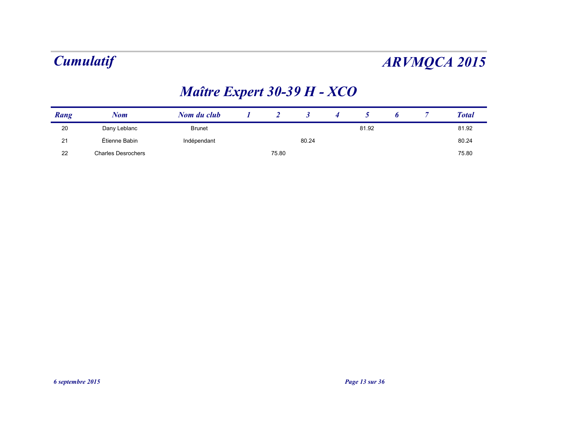## *Maître Expert 30-39 H - XCO*

| Rang | Nom                       | Nom du club   |       |       |       |  | <b>Total</b> |
|------|---------------------------|---------------|-------|-------|-------|--|--------------|
| 20   | Dany Leblanc              | <b>Brunet</b> |       |       | 81.92 |  | 81.92        |
| 21   | Étienne Babin             | Indépendant   |       | 80.24 |       |  | 80.24        |
| 22   | <b>Charles Desrochers</b> |               | 75.80 |       |       |  | 75.80        |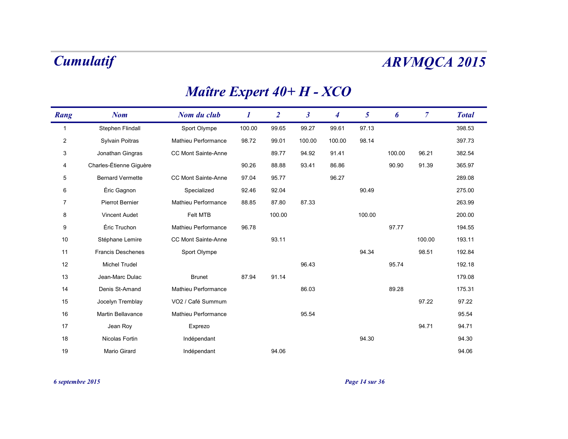## *Maître Expert 40+ H - XCO*

| Rang           | <b>Nom</b>               | Nom du club                | 1      | $\overline{2}$ | $\overline{\mathbf{3}}$ | 4      | 5      | 6      | $\overline{7}$ | <b>Total</b> |
|----------------|--------------------------|----------------------------|--------|----------------|-------------------------|--------|--------|--------|----------------|--------------|
| $\mathbf{1}$   | Stephen Flindall         | Sport Olympe               | 100.00 | 99.65          | 99.27                   | 99.61  | 97.13  |        |                | 398.53       |
| $\overline{2}$ | Sylvain Poitras          | <b>Mathieu Performance</b> | 98.72  | 99.01          | 100.00                  | 100.00 | 98.14  |        |                | 397.73       |
| 3              | Jonathan Gingras         | <b>CC Mont Sainte-Anne</b> |        | 89.77          | 94.92                   | 91.41  |        | 100.00 | 96.21          | 382.54       |
| 4              | Charles-Étienne Giguère  |                            | 90.26  | 88.88          | 93.41                   | 86.86  |        | 90.90  | 91.39          | 365.97       |
| 5              | <b>Bernard Vermette</b>  | CC Mont Sainte-Anne        | 97.04  | 95.77          |                         | 96.27  |        |        |                | 289.08       |
| 6              | Éric Gagnon              | Specialized                | 92.46  | 92.04          |                         |        | 90.49  |        |                | 275.00       |
| 7              | Pierrot Bernier          | <b>Mathieu Performance</b> | 88.85  | 87.80          | 87.33                   |        |        |        |                | 263.99       |
| 8              | Vincent Audet            | Felt MTB                   |        | 100.00         |                         |        | 100.00 |        |                | 200.00       |
| 9              | Éric Truchon             | Mathieu Performance        | 96.78  |                |                         |        |        | 97.77  |                | 194.55       |
| 10             | Stéphane Lemire          | <b>CC Mont Sainte-Anne</b> |        | 93.11          |                         |        |        |        | 100.00         | 193.11       |
| 11             | <b>Francis Deschenes</b> | Sport Olympe               |        |                |                         |        | 94.34  |        | 98.51          | 192.84       |
| 12             | <b>Michel Trudel</b>     |                            |        |                | 96.43                   |        |        | 95.74  |                | 192.18       |
| 13             | Jean-Marc Dulac          | <b>Brunet</b>              | 87.94  | 91.14          |                         |        |        |        |                | 179.08       |
| 14             | Denis St-Amand           | Mathieu Performance        |        |                | 86.03                   |        |        | 89.28  |                | 175.31       |
| 15             | Jocelyn Tremblay         | VO2 / Café Summum          |        |                |                         |        |        |        | 97.22          | 97.22        |
| 16             | <b>Martin Bellavance</b> | <b>Mathieu Performance</b> |        |                | 95.54                   |        |        |        |                | 95.54        |
| 17             | Jean Roy                 | Exprezo                    |        |                |                         |        |        |        | 94.71          | 94.71        |
| 18             | Nicolas Fortin           | Indépendant                |        |                |                         |        | 94.30  |        |                | 94.30        |
| 19             | Mario Girard             | Indépendant                |        | 94.06          |                         |        |        |        |                | 94.06        |

*6 septembre 2015 Page 14 sur 36*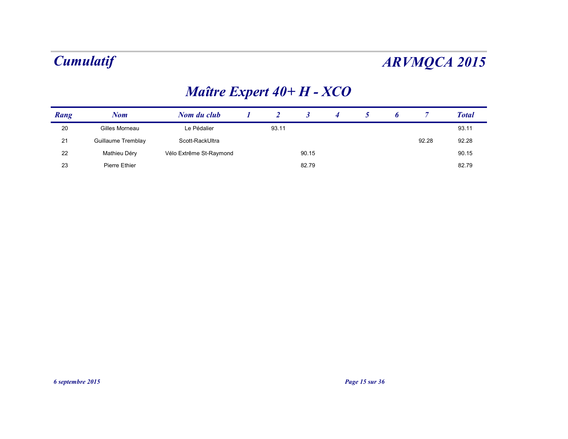## *Maître Expert 40+ H - XCO*

| Rang | Nom                | Nom du club             |       |       |  |       | <b>Total</b> |
|------|--------------------|-------------------------|-------|-------|--|-------|--------------|
| 20   | Gilles Morneau     | Le Pédalier             | 93.11 |       |  |       | 93.11        |
| 21   | Guillaume Tremblay | Scott-RackUltra         |       |       |  | 92.28 | 92.28        |
| 22   | Mathieu Déry       | Vélo Extrême St-Raymond |       | 90.15 |  |       | 90.15        |
| 23   | Pierre Ethier      |                         |       | 82.79 |  |       | 82.79        |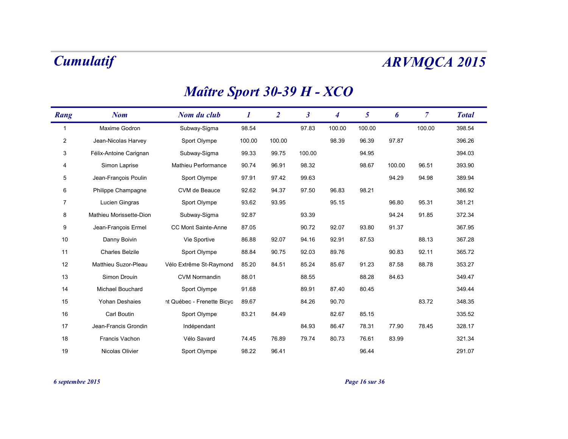### *Maître Sport 30-39 H - XCO*

| Rang           | <b>Nom</b>              | Nom du club                | 1      | $\overline{2}$ | $\boldsymbol{\beta}$ | 4      | 5      | 6      | $\overline{7}$ | <b>Total</b> |
|----------------|-------------------------|----------------------------|--------|----------------|----------------------|--------|--------|--------|----------------|--------------|
| 1              | Maxime Godron           | Subway-Sigma               | 98.54  |                | 97.83                | 100.00 | 100.00 |        | 100.00         | 398.54       |
| $\overline{2}$ | Jean-Nicolas Harvey     | Sport Olympe               | 100.00 | 100.00         |                      | 98.39  | 96.39  | 97.87  |                | 396.26       |
| 3              | Félix-Antoine Carignan  | Subway-Sigma               | 99.33  | 99.75          | 100.00               |        | 94.95  |        |                | 394.03       |
| 4              | Simon Laprise           | Mathieu Performance        | 90.74  | 96.91          | 98.32                |        | 98.67  | 100.00 | 96.51          | 393.90       |
| 5              | Jean-François Poulin    | Sport Olympe               | 97.91  | 97.42          | 99.63                |        |        | 94.29  | 94.98          | 389.94       |
| 6              | Philippe Champagne      | CVM de Beauce              | 92.62  | 94.37          | 97.50                | 96.83  | 98.21  |        |                | 386.92       |
| 7              | Lucien Gingras          | Sport Olympe               | 93.62  | 93.95          |                      | 95.15  |        | 96.80  | 95.31          | 381.21       |
| 8              | Mathieu Morissette-Dion | Subway-Sigma               | 92.87  |                | 93.39                |        |        | 94.24  | 91.85          | 372.34       |
| 9              | Jean-François Ermel     | <b>CC Mont Sainte-Anne</b> | 87.05  |                | 90.72                | 92.07  | 93.80  | 91.37  |                | 367.95       |
| 10             | Danny Boivin            | Vie Sportive               | 86.88  | 92.07          | 94.16                | 92.91  | 87.53  |        | 88.13          | 367.28       |
| 11             | <b>Charles Belzile</b>  | Sport Olympe               | 88.84  | 90.75          | 92.03                | 89.76  |        | 90.83  | 92.11          | 365.72       |
| 12             | Matthieu Suzor-Pleau    | Vélo Extrême St-Raymond    | 85.20  | 84.51          | 85.24                | 85.67  | 91.23  | 87.58  | 88.78          | 353.27       |
| 13             | Simon Drouin            | <b>CVM Normandin</b>       | 88.01  |                | 88.55                |        | 88.28  | 84.63  |                | 349.47       |
| 14             | Michael Bouchard        | Sport Olympe               | 91.68  |                | 89.91                | 87.40  | 80.45  |        |                | 349.44       |
| 15             | Yohan Deshaies          | nt Québec - Frenette Bicyc | 89.67  |                | 84.26                | 90.70  |        |        | 83.72          | 348.35       |
| 16             | Carl Boutin             | Sport Olympe               | 83.21  | 84.49          |                      | 82.67  | 85.15  |        |                | 335.52       |
| 17             | Jean-Francis Grondin    | Indépendant                |        |                | 84.93                | 86.47  | 78.31  | 77.90  | 78.45          | 328.17       |
| 18             | Francis Vachon          | Vélo Savard                | 74.45  | 76.89          | 79.74                | 80.73  | 76.61  | 83.99  |                | 321.34       |
| 19             | Nicolas Olivier         | Sport Olympe               | 98.22  | 96.41          |                      |        | 96.44  |        |                | 291.07       |

*6 septembre 2015 Page 16 sur 36*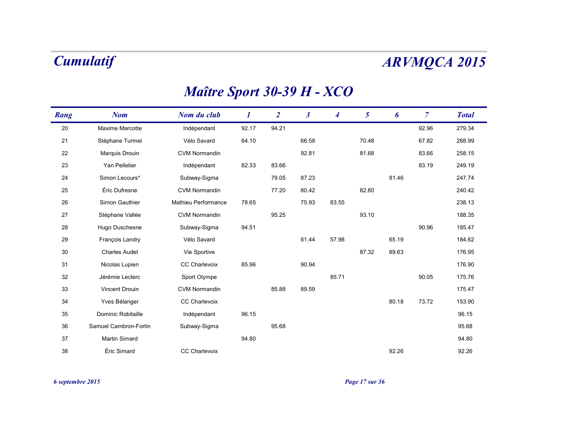### *Maître Sport 30-39 H - XCO*

| Rang | <b>Nom</b>            | Nom du club                | 1     | $\overline{2}$ | $\boldsymbol{\beta}$ | $\overline{\mathbf{4}}$ | 5     | 6     | $\overline{7}$ | <b>Total</b> |
|------|-----------------------|----------------------------|-------|----------------|----------------------|-------------------------|-------|-------|----------------|--------------|
| 20   | Maxime Marcotte       | Indépendant                | 92.17 | 94.21          |                      |                         |       |       | 92.96          | 279.34       |
| 21   | Stéphane Turmel       | Vélo Savard                | 64.10 |                | 66.58                |                         | 70.48 |       | 67.82          | 268.99       |
| 22   | Marquis Drouin        | <b>CVM Normandin</b>       |       |                | 92.81                |                         | 81.68 |       | 83.66          | 258.15       |
| 23   | Yan Pelletier         | Indépendant                | 82.33 | 83.66          |                      |                         |       |       | 83.19          | 249.19       |
| 24   | Simon Lecours*        | Subway-Sigma               |       | 79.05          | 87.23                |                         |       | 81.46 |                | 247.74       |
| 25   | Éric Dufresne         | <b>CVM Normandin</b>       |       | 77.20          | 80.42                |                         | 82.80 |       |                | 240.42       |
| 26   | Simon Gauthier        | <b>Mathieu Performance</b> | 78.65 |                | 75.93                | 83.55                   |       |       |                | 238.13       |
| 27   | Stéphane Vallée       | <b>CVM Normandin</b>       |       | 95.25          |                      |                         | 93.10 |       |                | 188.35       |
| 28   | Hugo Duschesne        | Subway-Sigma               | 94.51 |                |                      |                         |       |       | 90.96          | 185.47       |
| 29   | François Landry       | Vélo Savard                |       |                | 61.44                | 57.98                   |       | 65.19 |                | 184.62       |
| 30   | <b>Charles Audet</b>  | Vie Sportive               |       |                |                      |                         | 87.32 | 89.63 |                | 176.95       |
| 31   | Nicolas Lupien        | <b>CC Charlevoix</b>       | 85.96 |                | 90.94                |                         |       |       |                | 176.90       |
| 32   | Jérémie Leclerc       | Sport Olympe               |       |                |                      | 85.71                   |       |       | 90.05          | 175.76       |
| 33   | Vincent Drouin        | <b>CVM Normandin</b>       |       | 85.88          | 89.59                |                         |       |       |                | 175.47       |
| 34   | Yves Bélanger         | CC Charlevoix              |       |                |                      |                         |       | 80.18 | 73.72          | 153.90       |
| 35   | Dominic Robitaille    | Indépendant                | 96.15 |                |                      |                         |       |       |                | 96.15        |
| 36   | Samuel Cambron-Fortin | Subway-Sigma               |       | 95.68          |                      |                         |       |       |                | 95.68        |
| 37   | Martin Simard         |                            | 94.80 |                |                      |                         |       |       |                | 94.80        |
| 38   | Éric Simard           | <b>CC Charlevoix</b>       |       |                |                      |                         |       | 92.26 |                | 92.26        |

### *6 septembre 2015 Page 17 sur 36*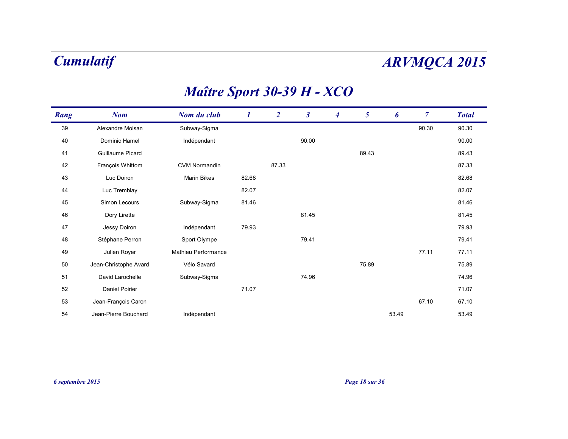## *Maître Sport 30-39 H - XCO*

| Rang | <b>Nom</b>            | Nom du club          | 1     | $\overline{2}$ | $\boldsymbol{\beta}$ | $\boldsymbol{4}$ | $5\overline{)}$ | 6     | $\overline{7}$ | <b>Total</b> |
|------|-----------------------|----------------------|-------|----------------|----------------------|------------------|-----------------|-------|----------------|--------------|
| 39   | Alexandre Moisan      | Subway-Sigma         |       |                |                      |                  |                 |       | 90.30          | 90.30        |
| 40   | Dominic Hamel         | Indépendant          |       |                | 90.00                |                  |                 |       |                | 90.00        |
| 41   | Guillaume Picard      |                      |       |                |                      |                  | 89.43           |       |                | 89.43        |
| 42   | François Whittom      | <b>CVM Normandin</b> |       | 87.33          |                      |                  |                 |       |                | 87.33        |
| 43   | Luc Doiron            | Marin Bikes          | 82.68 |                |                      |                  |                 |       |                | 82.68        |
| 44   | Luc Tremblay          |                      | 82.07 |                |                      |                  |                 |       |                | 82.07        |
| 45   | Simon Lecours         | Subway-Sigma         | 81.46 |                |                      |                  |                 |       |                | 81.46        |
| 46   | Dory Lirette          |                      |       |                | 81.45                |                  |                 |       |                | 81.45        |
| 47   | Jessy Doiron          | Indépendant          | 79.93 |                |                      |                  |                 |       |                | 79.93        |
| 48   | Stéphane Perron       | Sport Olympe         |       |                | 79.41                |                  |                 |       |                | 79.41        |
| 49   | Julien Royer          | Mathieu Performance  |       |                |                      |                  |                 |       | 77.11          | 77.11        |
| 50   | Jean-Christophe Avard | Vélo Savard          |       |                |                      |                  | 75.89           |       |                | 75.89        |
| 51   | David Larochelle      | Subway-Sigma         |       |                | 74.96                |                  |                 |       |                | 74.96        |
| 52   | Daniel Poirier        |                      | 71.07 |                |                      |                  |                 |       |                | 71.07        |
| 53   | Jean-François Caron   |                      |       |                |                      |                  |                 |       | 67.10          | 67.10        |
| 54   | Jean-Pierre Bouchard  | Indépendant          |       |                |                      |                  |                 | 53.49 |                | 53.49        |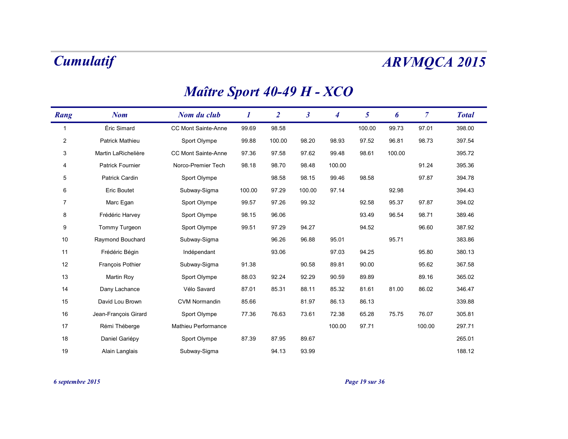### *Nom Nom du club* $\bf{1}$  *3* $\boldsymbol{\beta}$ *Rang 4 5 Total 6 7* 1 Éric Simard CC Mont Sainte-Anne 99.69 98.58 100.00 99.73 97.01 398.00 2 Patrick Mathieu Sport Olympe 99.88 100.00 98.20 98.93 97.52 96.81 98.73 397.54 3 Martin LaRichelière CC Mont Sainte-Anne 97.36 97.58 97.62 99.48 98.61 100.00 395.72 4 Patrick Fournier Norco-Premier Tech 98.18 98.70 98.48 100.00 91.24 395.36 5 Patrick Cardin Sport Olympe 98.58 98.15 99.46 98.58 97.87 394.78 6 Eric Boutet Subway-Sigma 100.00 97.29 100.00 97.14 92.98 394.43 7 Marc Egan Sport Olympe 99.57 97.26 99.32 92.58 95.37 97.87 394.02 8 Frédéric Harvey Sport Olympe 98.15 96.06 93.49 96.54 98.71 389.46 9 Tommy Turgeon Sport Olympe 99.51 97.29 94.27 94.52 96.60 387.92 10Raymond Bouchard Subway-Sigma 96.26 96.88 95.01 95.71 95.71 383.86 11 Frédéric Bégin Indépendant 93.06 97.03 94.25 95.80 380.13 12 François Pothier Subway-Sigma 91.38 90.58 89.81 90.00 95.62 367.58 13 Martin Roy Sport Olympe 88.03 92.24 92.29 90.59 89.89 89.16 365.02 14 Dany Lachance Vélo Savard 87.01 85.31 88.11 85.32 81.61 81.00 86.02 346.47 15 David Lou Brown CVM Normandin 85.66 81.97 86.13 86.13 339.88 16 Jean-François Girard Sport Olympe 77.36 76.63 73.61 72.38 65.28 75.75 76.07 305.81 17Rémi Théberge Mathieu Performance 100.00 100.00 97.71 100.00 297.71 188 Daniel Gariépy Sport Olympe 87.39 87.95 89.67 265.01

Alain Langlais Subway-Sigma 94.13 93.99 188.12

### *Maître Sport 40-49 H - XCO*

*6 septembre 2015 Page 19 sur 36*

19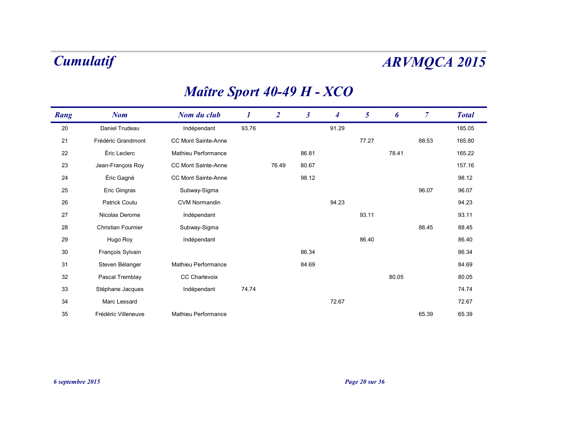| Rang | <b>Nom</b>                | Nom du club                | 1     | $\overline{2}$ | $\boldsymbol{\beta}$ | 4     | $\mathfrak{s}$ | 6     | $\overline{7}$ | <b>Total</b> |
|------|---------------------------|----------------------------|-------|----------------|----------------------|-------|----------------|-------|----------------|--------------|
| 20   | Daniel Trudeau            | Indépendant                | 93.76 |                |                      | 91.29 |                |       |                | 185.05       |
| 21   | Frédéric Grandmont        | <b>CC Mont Sainte-Anne</b> |       |                |                      |       | 77.27          |       | 88.53          | 165.80       |
| 22   | Éric Leclerc              | <b>Mathieu Performance</b> |       |                | 86.81                |       |                | 78.41 |                | 165.22       |
| 23   | Jean-François Roy         | <b>CC Mont Sainte-Anne</b> |       | 76.49          | 80.67                |       |                |       |                | 157.16       |
| 24   | Éric Gagné                | <b>CC Mont Sainte-Anne</b> |       |                | 98.12                |       |                |       |                | 98.12        |
| 25   | Eric Gingras              | Subway-Sigma               |       |                |                      |       |                |       | 96.07          | 96.07        |
| 26   | <b>Patrick Coutu</b>      | <b>CVM Normandin</b>       |       |                |                      | 94.23 |                |       |                | 94.23        |
| 27   | Nicolas Derome            | Indépendant                |       |                |                      |       | 93.11          |       |                | 93.11        |
| 28   | <b>Christian Fournier</b> | Subway-Sigma               |       |                |                      |       |                |       | 88.45          | 88.45        |
| 29   | Hugo Roy                  | Indépendant                |       |                |                      |       | 86.40          |       |                | 86.40        |
| 30   | François Sylvain          |                            |       |                | 86.34                |       |                |       |                | 86.34        |
| 31   | Steven Bélanger           | <b>Mathieu Performance</b> |       |                | 84.69                |       |                |       |                | 84.69        |
| 32   | Pascal Tremblay           | <b>CC Charlevoix</b>       |       |                |                      |       |                | 80.05 |                | 80.05        |
| 33   | Stéphane Jacques          | Indépendant                | 74.74 |                |                      |       |                |       |                | 74.74        |
| 34   | Marc Lessard              |                            |       |                |                      | 72.67 |                |       |                | 72.67        |
| 35   | Frédéric Villeneuve       | <b>Mathieu Performance</b> |       |                |                      |       |                |       | 65.39          | 65.39        |

## *Maître Sport 40-49 H - XCO*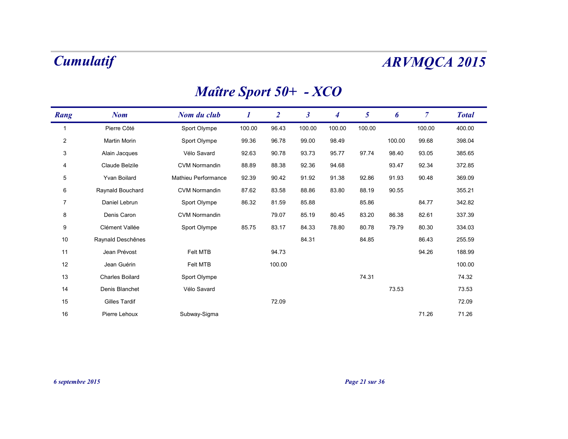## *Maître Sport 50+ - XCO*

| Rang           | <b>Nom</b>             | Nom du club          | 1      | $\overline{2}$ | $\boldsymbol{\beta}$ | $\boldsymbol{4}$ | 5      | 6      | $\overline{7}$ | <b>Total</b> |
|----------------|------------------------|----------------------|--------|----------------|----------------------|------------------|--------|--------|----------------|--------------|
| 1              | Pierre Côté            | Sport Olympe         | 100.00 | 96.43          | 100.00               | 100.00           | 100.00 |        | 100.00         | 400.00       |
| $\overline{2}$ | Martin Morin           | Sport Olympe         | 99.36  | 96.78          | 99.00                | 98.49            |        | 100.00 | 99.68          | 398.04       |
| 3              | Alain Jacques          | Vélo Savard          | 92.63  | 90.78          | 93.73                | 95.77            | 97.74  | 98.40  | 93.05          | 385.65       |
| 4              | Claude Belzile         | <b>CVM Normandin</b> | 88.89  | 88.38          | 92.36                | 94.68            |        | 93.47  | 92.34          | 372.85       |
| $\overline{5}$ | Yvan Boilard           | Mathieu Performance  | 92.39  | 90.42          | 91.92                | 91.38            | 92.86  | 91.93  | 90.48          | 369.09       |
| 6              | Raynald Bouchard       | <b>CVM Normandin</b> | 87.62  | 83.58          | 88.86                | 83.80            | 88.19  | 90.55  |                | 355.21       |
| $\overline{7}$ | Daniel Lebrun          | Sport Olympe         | 86.32  | 81.59          | 85.88                |                  | 85.86  |        | 84.77          | 342.82       |
| 8              | Denis Caron            | <b>CVM Normandin</b> |        | 79.07          | 85.19                | 80.45            | 83.20  | 86.38  | 82.61          | 337.39       |
| 9              | Clément Vallée         | Sport Olympe         | 85.75  | 83.17          | 84.33                | 78.80            | 80.78  | 79.79  | 80.30          | 334.03       |
| 10             | Raynald Deschênes      |                      |        |                | 84.31                |                  | 84.85  |        | 86.43          | 255.59       |
| 11             | Jean Prévost           | Felt MTB             |        | 94.73          |                      |                  |        |        | 94.26          | 188.99       |
| 12             | Jean Guérin            | Felt MTB             |        | 100.00         |                      |                  |        |        |                | 100.00       |
| 13             | <b>Charles Boilard</b> | Sport Olympe         |        |                |                      |                  | 74.31  |        |                | 74.32        |
| 14             | Denis Blanchet         | Vélo Savard          |        |                |                      |                  |        | 73.53  |                | 73.53        |
| 15             | Gilles Tardif          |                      |        | 72.09          |                      |                  |        |        |                | 72.09        |
| 16             | Pierre Lehoux          | Subway-Sigma         |        |                |                      |                  |        |        | 71.26          | 71.26        |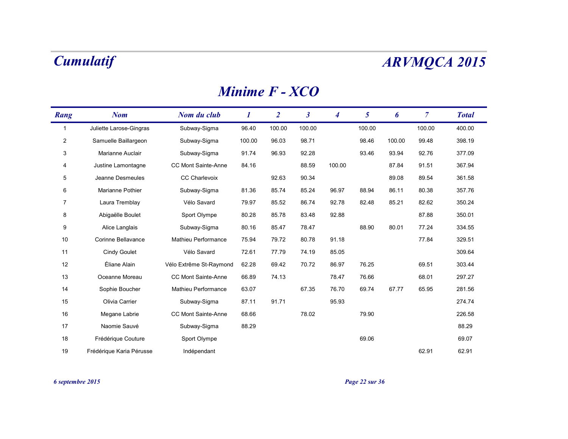### *Minime F - XCO*

| Rang           | <b>Nom</b>               | Nom du club             | 1      | $\overline{2}$ | $\mathfrak{z}$ | 4      | 5      | 6      | $\overline{7}$ | <b>Total</b> |
|----------------|--------------------------|-------------------------|--------|----------------|----------------|--------|--------|--------|----------------|--------------|
| $\mathbf 1$    | Juliette Larose-Gingras  | Subway-Sigma            | 96.40  | 100.00         | 100.00         |        | 100.00 |        | 100.00         | 400.00       |
| $\overline{2}$ | Samuelle Baillargeon     | Subway-Sigma            | 100.00 | 96.03          | 98.71          |        | 98.46  | 100.00 | 99.48          | 398.19       |
| 3              | Marianne Auclair         | Subway-Sigma            | 91.74  | 96.93          | 92.28          |        | 93.46  | 93.94  | 92.76          | 377.09       |
| 4              | Justine Lamontagne       | CC Mont Sainte-Anne     | 84.16  |                | 88.59          | 100.00 |        | 87.84  | 91.51          | 367.94       |
| 5              | Jeanne Desmeules         | CC Charlevoix           |        | 92.63          | 90.34          |        |        | 89.08  | 89.54          | 361.58       |
| 6              | Marianne Pothier         | Subway-Sigma            | 81.36  | 85.74          | 85.24          | 96.97  | 88.94  | 86.11  | 80.38          | 357.76       |
| 7              | Laura Tremblay           | Vélo Savard             | 79.97  | 85.52          | 86.74          | 92.78  | 82.48  | 85.21  | 82.62          | 350.24       |
| 8              | Abigaëlle Boulet         | Sport Olympe            | 80.28  | 85.78          | 83.48          | 92.88  |        |        | 87.88          | 350.01       |
| 9              | Alice Langlais           | Subway-Sigma            | 80.16  | 85.47          | 78.47          |        | 88.90  | 80.01  | 77.24          | 334.55       |
| 10             | Corinne Bellavance       | Mathieu Performance     | 75.94  | 79.72          | 80.78          | 91.18  |        |        | 77.84          | 329.51       |
| 11             | <b>Cindy Goulet</b>      | Vélo Savard             | 72.61  | 77.79          | 74.19          | 85.05  |        |        |                | 309.64       |
| 12             | Éliane Alain             | Vélo Extrême St-Raymond | 62.28  | 69.42          | 70.72          | 86.97  | 76.25  |        | 69.51          | 303.44       |
| 13             | Oceanne Moreau           | CC Mont Sainte-Anne     | 66.89  | 74.13          |                | 78.47  | 76.66  |        | 68.01          | 297.27       |
| 14             | Sophie Boucher           | Mathieu Performance     | 63.07  |                | 67.35          | 76.70  | 69.74  | 67.77  | 65.95          | 281.56       |
| 15             | Olivia Carrier           | Subway-Sigma            | 87.11  | 91.71          |                | 95.93  |        |        |                | 274.74       |
| 16             | Megane Labrie            | CC Mont Sainte-Anne     | 68.66  |                | 78.02          |        | 79.90  |        |                | 226.58       |
| 17             | Naomie Sauvé             | Subway-Sigma            | 88.29  |                |                |        |        |        |                | 88.29        |
| 18             | Frédérique Couture       | Sport Olympe            |        |                |                |        | 69.06  |        |                | 69.07        |
| 19             | Frédérique Karia Pérusse | Indépendant             |        |                |                |        |        |        | 62.91          | 62.91        |

### *6 septembre 2015 Page 22 sur 36*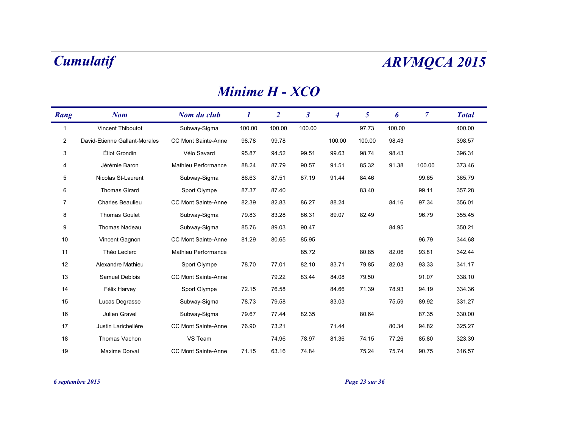### *Minime H - XCO*

| Rang           | <b>Nom</b>                    | Nom du club                | 1      | $\overline{2}$ | $\boldsymbol{\beta}$ | 4      | 5      | 6      | 7      | <b>Total</b> |
|----------------|-------------------------------|----------------------------|--------|----------------|----------------------|--------|--------|--------|--------|--------------|
| -1             | Vincent Thiboutot             | Subway-Sigma               | 100.00 | 100.00         | 100.00               |        | 97.73  | 100.00 |        | 400.00       |
| $\overline{2}$ | David-Etienne Gallant-Morales | CC Mont Sainte-Anne        | 98.78  | 99.78          |                      | 100.00 | 100.00 | 98.43  |        | 398.57       |
| 3              | Éliot Grondin                 | Vélo Savard                | 95.87  | 94.52          | 99.51                | 99.63  | 98.74  | 98.43  |        | 396.31       |
| 4              | Jérémie Baron                 | <b>Mathieu Performance</b> | 88.24  | 87.79          | 90.57                | 91.51  | 85.32  | 91.38  | 100.00 | 373.46       |
| $\overline{5}$ | Nicolas St-Laurent            | Subway-Sigma               | 86.63  | 87.51          | 87.19                | 91.44  | 84.46  |        | 99.65  | 365.79       |
| 6              | <b>Thomas Girard</b>          | Sport Olympe               | 87.37  | 87.40          |                      |        | 83.40  |        | 99.11  | 357.28       |
| 7              | <b>Charles Beaulieu</b>       | CC Mont Sainte-Anne        | 82.39  | 82.83          | 86.27                | 88.24  |        | 84.16  | 97.34  | 356.01       |
| 8              | <b>Thomas Goulet</b>          | Subway-Sigma               | 79.83  | 83.28          | 86.31                | 89.07  | 82.49  |        | 96.79  | 355.45       |
| 9              | <b>Thomas Nadeau</b>          | Subway-Sigma               | 85.76  | 89.03          | 90.47                |        |        | 84.95  |        | 350.21       |
| 10             | Vincent Gagnon                | CC Mont Sainte-Anne        | 81.29  | 80.65          | 85.95                |        |        |        | 96.79  | 344.68       |
| 11             | Théo Leclerc                  | Mathieu Performance        |        |                | 85.72                |        | 80.85  | 82.06  | 93.81  | 342.44       |
| 12             | Alexandre Mathieu             | Sport Olympe               | 78.70  | 77.01          | 82.10                | 83.71  | 79.85  | 82.03  | 93.33  | 341.17       |
| 13             | Samuel Deblois                | <b>CC Mont Sainte-Anne</b> |        | 79.22          | 83.44                | 84.08  | 79.50  |        | 91.07  | 338.10       |
| 14             | Félix Harvey                  | Sport Olympe               | 72.15  | 76.58          |                      | 84.66  | 71.39  | 78.93  | 94.19  | 334.36       |
| 15             | Lucas Degrasse                | Subway-Sigma               | 78.73  | 79.58          |                      | 83.03  |        | 75.59  | 89.92  | 331.27       |
| 16             | Julien Gravel                 | Subway-Sigma               | 79.67  | 77.44          | 82.35                |        | 80.64  |        | 87.35  | 330.00       |
| 17             | Justin Larichelière           | CC Mont Sainte-Anne        | 76.90  | 73.21          |                      | 71.44  |        | 80.34  | 94.82  | 325.27       |
| 18             | Thomas Vachon                 | VS Team                    |        | 74.96          | 78.97                | 81.36  | 74.15  | 77.26  | 85.80  | 323.39       |
| 19             | Maxime Dorval                 | CC Mont Sainte-Anne        | 71.15  | 63.16          | 74.84                |        | 75.24  | 75.74  | 90.75  | 316.57       |

*6 septembre 2015 Page 23 sur 36*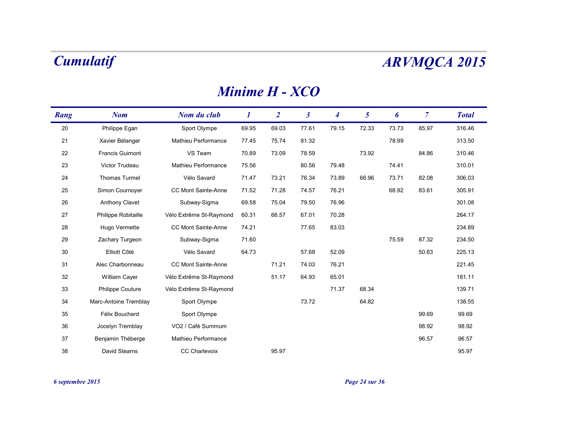### *Minime H - XCO*

| Rang | <b>Nom</b>             | Nom du club             | 1     | $\overline{2}$ | $\mathfrak{z}$ | 4     | 5     | 6     | $\overline{7}$ | <b>Total</b> |
|------|------------------------|-------------------------|-------|----------------|----------------|-------|-------|-------|----------------|--------------|
| 20   | Philippe Egan          | Sport Olympe            | 69.95 | 69.03          | 77.61          | 79.15 | 72.33 | 73.73 | 85.97          | 316.46       |
| 21   | Xavier Bélanger        | Mathieu Performance     | 77.45 | 75.74          | 81.32          |       |       | 78.99 |                | 313.50       |
| 22   | <b>Francis Guimont</b> | VS Team                 | 70.89 | 73.09          | 78.59          |       | 73.92 |       | 84.86          | 310.46       |
| 23   | Victor Trudeau         | Mathieu Performance     | 75.56 |                | 80.56          | 79.48 |       | 74.41 |                | 310.01       |
| 24   | Thomas Turmel          | Vélo Savard             | 71.47 | 73.21          | 76.34          | 73.89 | 66.96 | 73.71 | 82.08          | 306.03       |
| 25   | Simon Cournoyer        | CC Mont Sainte-Anne     | 71.52 | 71.28          | 74.57          | 76.21 |       | 68.92 | 83.61          | 305.91       |
| 26   | <b>Anthony Clavet</b>  | Subway-Sigma            | 69.58 | 75.04          | 79.50          | 76.96 |       |       |                | 301.08       |
| 27   | Philippe Robitaille    | Vélo Extrême St-Raymond | 60.31 | 66.57          | 67.01          | 70.28 |       |       |                | 264.17       |
| 28   | Hugo Vermette          | CC Mont Sainte-Anne     | 74.21 |                | 77.65          | 83.03 |       |       |                | 234.89       |
| 29   | Zachary Turgeon        | Subway-Sigma            | 71.60 |                |                |       |       | 75.59 | 87.32          | 234.50       |
| 30   | Elliott Côté           | Vélo Savard             | 64.73 |                | 57.68          | 52.09 |       |       | 50.63          | 225.13       |
| 31   | Alec Charbonneau       | CC Mont Sainte-Anne     |       | 71.21          | 74.03          | 76.21 |       |       |                | 221.45       |
| 32   | William Cayer          | Vélo Extrême St-Raymond |       | 51.17          | 64.93          | 65.01 |       |       |                | 181.11       |
| 33   | Philippe Couture       | Vélo Extrême St-Raymond |       |                |                | 71.37 | 68.34 |       |                | 139.71       |
| 34   | Marc-Antoine Tremblay  | Sport Olympe            |       |                | 73.72          |       | 64.82 |       |                | 138.55       |
| 35   | Félix Bouchard         | Sport Olympe            |       |                |                |       |       |       | 99.69          | 99.69        |
| 36   | Jocelyn Tremblay       | VO2 / Café Summum       |       |                |                |       |       |       | 98.92          | 98.92        |
| 37   | Benjamin Théberge      | Mathieu Performance     |       |                |                |       |       |       | 96.57          | 96.57        |
| 38   | David Stearns          | <b>CC Charlevoix</b>    |       | 95.97          |                |       |       |       |                | 95.97        |

*6 septembre 2015 Page 24 sur 36*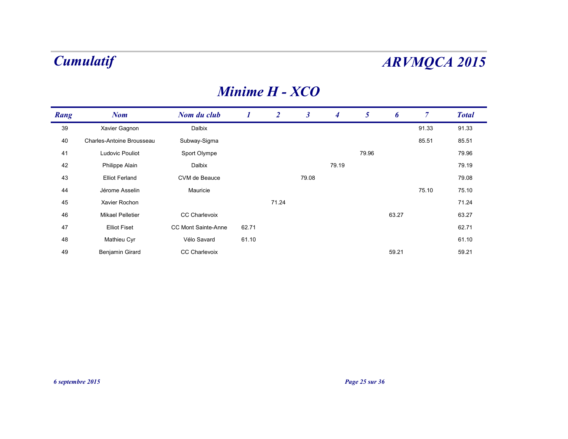### *Minime H - XCO*

| Rang | <b>Nom</b>                | Nom du club                |       | $\overline{2}$ | $\boldsymbol{\beta}$ | 4     | 5     | 6     | 7     | <b>Total</b> |
|------|---------------------------|----------------------------|-------|----------------|----------------------|-------|-------|-------|-------|--------------|
| 39   | Xavier Gagnon             | Dalbix                     |       |                |                      |       |       |       | 91.33 | 91.33        |
| 40   | Charles-Antoine Brousseau | Subway-Sigma               |       |                |                      |       |       |       | 85.51 | 85.51        |
| 41   | Ludovic Pouliot           | Sport Olympe               |       |                |                      |       | 79.96 |       |       | 79.96        |
| 42   | Philippe Alain            | Dalbix                     |       |                |                      | 79.19 |       |       |       | 79.19        |
| 43   | <b>Elliot Ferland</b>     | CVM de Beauce              |       |                | 79.08                |       |       |       |       | 79.08        |
| 44   | Jérome Asselin            | Mauricie                   |       |                |                      |       |       |       | 75.10 | 75.10        |
| 45   | Xavier Rochon             |                            |       | 71.24          |                      |       |       |       |       | 71.24        |
| 46   | Mikael Pelletier          | <b>CC Charlevoix</b>       |       |                |                      |       |       | 63.27 |       | 63.27        |
| 47   | <b>Elliot Fiset</b>       | <b>CC Mont Sainte-Anne</b> | 62.71 |                |                      |       |       |       |       | 62.71        |
| 48   | Mathieu Cyr               | Vélo Savard                | 61.10 |                |                      |       |       |       |       | 61.10        |
| 49   | Benjamin Girard           | <b>CC Charlevoix</b>       |       |                |                      |       |       | 59.21 |       | 59.21        |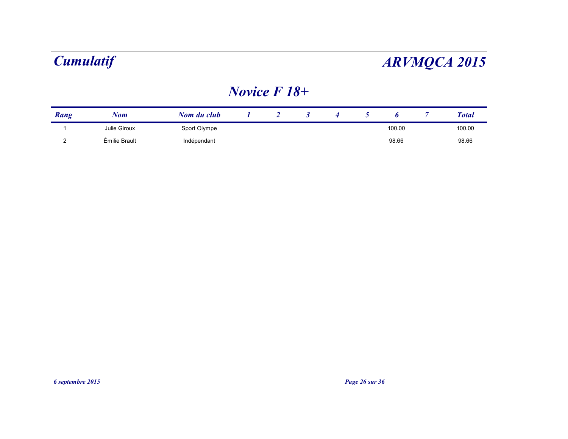### *Novice F 18+*

| Rang | Nom           | Nom du club  |  |  |        | <b>Total</b> |
|------|---------------|--------------|--|--|--------|--------------|
|      | Julie Giroux  | Sport Olympe |  |  | 100.00 | 100.00       |
|      | Émilie Brault | Indépendant  |  |  | 98.66  | 98.66        |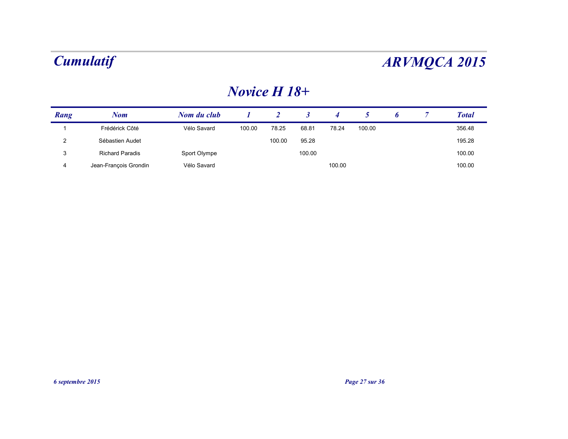### *Novice H 18+*

| Rang | Nom                    | Nom du club  |        |        |        |        |        |  | <b>Total</b> |
|------|------------------------|--------------|--------|--------|--------|--------|--------|--|--------------|
|      | Frédérick Côté         | Vélo Savard  | 100.00 | 78.25  | 68.81  | 78.24  | 100.00 |  | 356.48       |
| າ    | Sébastien Audet        |              |        | 100.00 | 95.28  |        |        |  | 195.28       |
| 3    | <b>Richard Paradis</b> | Sport Olympe |        |        | 100.00 |        |        |  | 100.00       |
| 4    | Jean-François Grondin  | Vélo Savard  |        |        |        | 100.00 |        |  | 100.00       |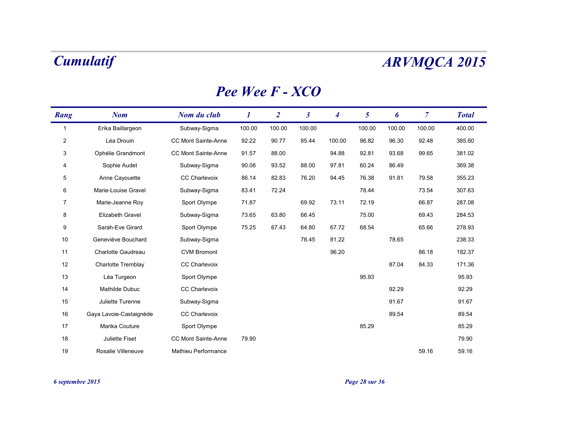### *Pee Wee F - XCO*

| Rang           | <b>Nom</b>              | Nom du club                | 1      | $\overline{2}$ | $\boldsymbol{\beta}$ | $\overline{\mathbf{4}}$ | 5      | 6      | $\overline{7}$ | <b>Total</b> |
|----------------|-------------------------|----------------------------|--------|----------------|----------------------|-------------------------|--------|--------|----------------|--------------|
| $\mathbf 1$    | Erika Baillargeon       | Subway-Sigma               | 100.00 | 100.00         | 100.00               |                         | 100.00 | 100.00 | 100.00         | 400.00       |
| $\overline{c}$ | Léa Drouin              | CC Mont Sainte-Anne        | 92.22  | 90.77          | 85.44                | 100.00                  | 96.82  | 96.30  | 92.48          | 385.60       |
| 3              | Ophélie Grandmont       | <b>CC Mont Sainte-Anne</b> | 91.57  | 88.00          |                      | 94.88                   | 92.81  | 93.68  | 99.65          | 381.02       |
| 4              | Sophie Audet            | Subway-Sigma               | 90.06  | 93.52          | 88.00                | 97.81                   | 60.24  | 86.49  |                | 369.38       |
| $\overline{5}$ | Anne Cayouette          | <b>CC Charlevoix</b>       | 86.14  | 82.83          | 76.20                | 94.45                   | 76.38  | 91.81  | 79.58          | 355.23       |
| 6              | Marie-Louise Gravel     | Subway-Sigma               | 83.41  | 72.24          |                      |                         | 78.44  |        | 73.54          | 307.63       |
| 7              | Marie-Jeanne Roy        | Sport Olympe               | 71.87  |                | 69.92                | 73.11                   | 72.19  |        | 66.87          | 287.08       |
| 8              | Elizabeth Gravel        | Subway-Sigma               | 73.65  | 63.80          | 66.45                |                         | 75.00  |        | 69.43          | 284.53       |
| 9              | Sarah-Eve Girard        | Sport Olympe               | 75.25  | 67.43          | 64.80                | 67.72                   | 68.54  |        | 65.66          | 278.93       |
| 10             | Geneviève Bouchard      | Subway-Sigma               |        |                | 78.45                | 81.22                   |        | 78.65  |                | 238.33       |
| 11             | Charlotte Gaudreau      | <b>CVM Bromont</b>         |        |                |                      | 96.20                   |        |        | 86.18          | 182.37       |
| 12             | Charlotte Tremblay      | <b>CC Charlevoix</b>       |        |                |                      |                         |        | 87.04  | 84.33          | 171.36       |
| 13             | Léa Turgeon             | Sport Olympe               |        |                |                      |                         | 95.93  |        |                | 95.93        |
| 14             | <b>Mathilde Dubuc</b>   | <b>CC Charlevoix</b>       |        |                |                      |                         |        | 92.29  |                | 92.29        |
| 15             | Juliette Turenne        | Subway-Sigma               |        |                |                      |                         |        | 91.67  |                | 91.67        |
| 16             | Gaya Lavoie-Castaignède | <b>CC Charlevoix</b>       |        |                |                      |                         |        | 89.54  |                | 89.54        |
| 17             | Marika Couture          | Sport Olympe               |        |                |                      |                         | 85.29  |        |                | 85.29        |
| 18             | Juliette Fiset          | CC Mont Sainte-Anne        | 79.90  |                |                      |                         |        |        |                | 79.90        |
| 19             | Rosalie Villeneuve      | Mathieu Performance        |        |                |                      |                         |        |        | 59.16          | 59.16        |

### *6 septembre 2015 Page 28 sur 36*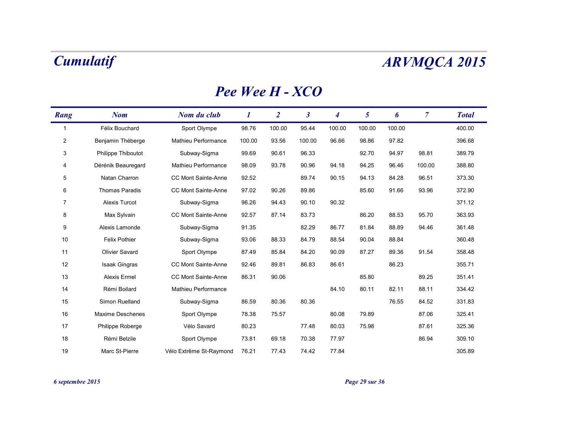### *Pee Wee H - XCO*

| Rang           | <b>Nom</b>              | Nom du club                | 1      | $\overline{2}$ | $\boldsymbol{\beta}$ | 4      | 5      | 6      | $\overline{7}$ | <b>Total</b> |
|----------------|-------------------------|----------------------------|--------|----------------|----------------------|--------|--------|--------|----------------|--------------|
| 1              | Félix Bouchard          | Sport Olympe               | 98.76  | 100.00         | 95.44                | 100.00 | 100.00 | 100.00 |                | 400.00       |
| $\overline{2}$ | Benjamin Théberge       | Mathieu Performance        | 100.00 | 93.56          | 100.00               | 96.66  | 98.86  | 97.82  |                | 396.68       |
| 3              | Philippe Thiboutot      | Subway-Sigma               | 99.69  | 90.61          | 96.33                |        | 92.70  | 94.97  | 98.81          | 389.79       |
| 4              | Dérénik Beauregard      | Mathieu Performance        | 98.09  | 93.78          | 90.96                | 94.18  | 94.25  | 96.46  | 100.00         | 388.80       |
| 5              | Natan Charron           | CC Mont Sainte-Anne        | 92.52  |                | 89.74                | 90.15  | 94.13  | 84.28  | 96.51          | 373.30       |
| 6              | <b>Thomas Paradis</b>   | <b>CC Mont Sainte-Anne</b> | 97.02  | 90.26          | 89.86                |        | 85.60  | 91.66  | 93.96          | 372.90       |
| 7              | Alexis Turcot           | Subway-Sigma               | 96.26  | 94.43          | 90.10                | 90.32  |        |        |                | 371.12       |
| 8              | Max Sylvain             | CC Mont Sainte-Anne        | 92.57  | 87.14          | 83.73                |        | 86.20  | 88.53  | 95.70          | 363.93       |
| 9              | Alexis Lamonde          | Subway-Sigma               | 91.35  |                | 82.29                | 86.77  | 81.84  | 88.89  | 94.46          | 361.48       |
| 10             | <b>Felix Pothier</b>    | Subway-Sigma               | 93.06  | 88.33          | 84.79                | 88.54  | 90.04  | 88.84  |                | 360.48       |
| 11             | <b>Olivier Savard</b>   | Sport Olympe               | 87.49  | 85.84          | 84.20                | 90.09  | 87.27  | 89.36  | 91.54          | 358.48       |
| 12             | <b>Isaak Gingras</b>    | CC Mont Sainte-Anne        | 92.46  | 89.81          | 86.83                | 86.61  |        | 86.23  |                | 355.71       |
| 13             | <b>Alexis Ermel</b>     | CC Mont Sainte-Anne        | 86.31  | 90.06          |                      |        | 85.80  |        | 89.25          | 351.41       |
| 14             | Rémi Boilard            | Mathieu Performance        |        |                |                      | 84.10  | 80.11  | 82.11  | 88.11          | 334.42       |
| 15             | Simon Ruelland          | Subway-Sigma               | 86.59  | 80.36          | 80.36                |        |        | 76.55  | 84.52          | 331.83       |
| 16             | <b>Maxime Deschenes</b> | Sport Olympe               | 78.38  | 75.57          |                      | 80.08  | 79.89  |        | 87.06          | 325.41       |
| 17             | Philippe Roberge        | Vélo Savard                | 80.23  |                | 77.48                | 80.03  | 75.98  |        | 87.61          | 325.36       |
| 18             | Rémi Belzile            | Sport Olympe               | 73.81  | 69.18          | 70.38                | 77.97  |        |        | 86.94          | 309.10       |
| 19             | Marc St-Pierre          | Vélo Extrême St-Raymond    | 76.21  | 77.43          | 74.42                | 77.84  |        |        |                | 305.89       |

*6 septembre 2015 Page 29 sur 36*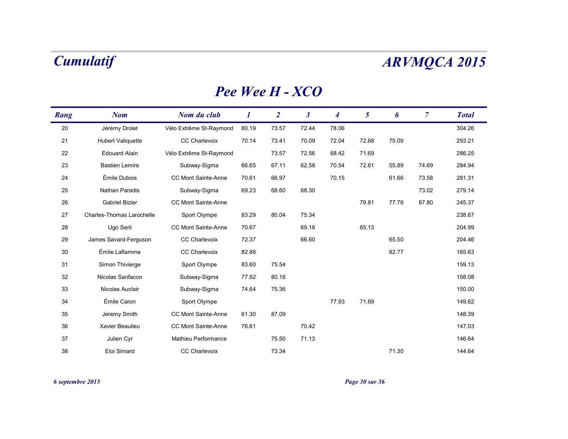### *Pee Wee H - XCO*

| Rang | <b>Nom</b>                       | Nom du club                | 1     | $\overline{2}$ | $\boldsymbol{\beta}$ | 4     | 5     | 6     | $\overline{7}$ | <b>Total</b> |
|------|----------------------------------|----------------------------|-------|----------------|----------------------|-------|-------|-------|----------------|--------------|
| 20   | Jérémy Drolet                    | Vélo Extrême St-Raymond    | 80.19 | 73.57          | 72.44                | 78.06 |       |       |                | 304.26       |
| 21   | <b>Hubert Valiquette</b>         | CC Charlevoix              | 70.14 | 73.41          | 70.09                | 72.04 | 72.68 | 75.09 |                | 293.21       |
| 22   | <b>Edouard Alain</b>             | Vélo Extrême St-Raymond    |       | 73.57          | 72.56                | 68.42 | 71.69 |       |                | 286.25       |
| 23   | <b>Bastien Lemire</b>            | Subway-Sigma               | 66.65 | 67.11          | 62.58                | 70.54 | 72.61 | 55.89 | 74.69          | 284.94       |
| 24   | Émile Dubois                     | <b>CC Mont Sainte-Anne</b> | 70.61 | 66.97          |                      | 70.15 |       | 61.66 | 73.58          | 281.31       |
| 25   | Nathan Paradis                   | Subway-Sigma               | 69.23 | 68.60          | 68.30                |       |       |       | 73.02          | 279.14       |
| 26   | <b>Gabriel Bizier</b>            | CC Mont Sainte-Anne        |       |                |                      |       | 79.81 | 77.76 | 87.80          | 245.37       |
| 27   | <b>Charles-Thomas Larochelle</b> | Sport Olympe               | 83.29 | 80.04          | 75.34                |       |       |       |                | 238.67       |
| 28   | Ugo Serli                        | <b>CC Mont Sainte-Anne</b> | 70.67 |                | 69.18                |       | 65.13 |       |                | 204.99       |
| 29   | James Savard-Ferguson            | <b>CC Charlevoix</b>       | 72.37 |                | 66.60                |       |       | 65.50 |                | 204.46       |
| 30   | Émile Laflamme                   | <b>CC Charlevoix</b>       | 82.86 |                |                      |       |       | 82.77 |                | 165.63       |
| 31   | Simon Thivierge                  | Sport Olympe               | 83.60 | 75.54          |                      |       |       |       |                | 159.13       |
| 32   | Nicolas Sanfacon                 | Subway-Sigma               | 77.92 | 80.16          |                      |       |       |       |                | 158.08       |
| 33   | Nicolas Auclair                  | Subway-Sigma               | 74.64 | 75.36          |                      |       |       |       |                | 150.00       |
| 34   | Émile Caron                      | Sport Olympe               |       |                |                      | 77.93 | 71.69 |       |                | 149.62       |
| 35   | Jeremy Smith                     | <b>CC Mont Sainte-Anne</b> | 61.30 | 87.09          |                      |       |       |       |                | 148.39       |
| 36   | Xavier Beaulieu                  | CC Mont Sainte-Anne        | 76.61 |                | 70.42                |       |       |       |                | 147.03       |
| 37   | Julien Cyr                       | Mathieu Performance        |       | 75.50          | 71.13                |       |       |       |                | 146.64       |
| 38   | Eloi Simard                      | <b>CC Charlevoix</b>       |       | 73.34          |                      |       |       | 71.30 |                | 144.64       |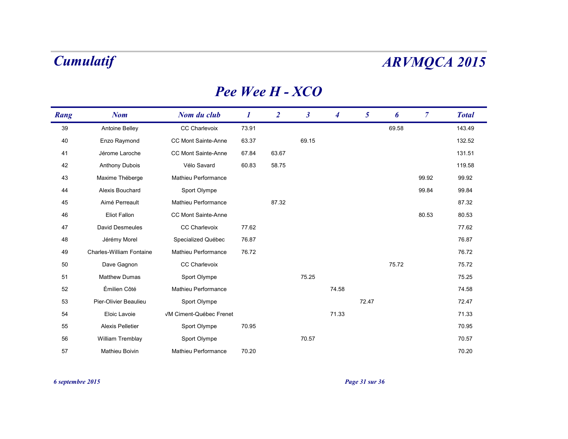### *Pee Wee H - XCO*

| Rang | <b>Nom</b>                      | Nom du club             | $\bm{l}$ | $\overline{2}$ | $\boldsymbol{\beta}$ | 4     | 5     | 6     | $\overline{7}$ | <b>Total</b> |
|------|---------------------------------|-------------------------|----------|----------------|----------------------|-------|-------|-------|----------------|--------------|
| 39   | Antoine Belley                  | CC Charlevoix           | 73.91    |                |                      |       |       | 69.58 |                | 143.49       |
| 40   | Enzo Raymond                    | CC Mont Sainte-Anne     | 63.37    |                | 69.15                |       |       |       |                | 132.52       |
| 41   | Jérome Laroche                  | CC Mont Sainte-Anne     | 67.84    | 63.67          |                      |       |       |       |                | 131.51       |
| 42   | Anthony Dubois                  | Vélo Savard             | 60.83    | 58.75          |                      |       |       |       |                | 119.58       |
| 43   | Maxime Théberge                 | Mathieu Performance     |          |                |                      |       |       |       | 99.92          | 99.92        |
| 44   | Alexis Bouchard                 | Sport Olympe            |          |                |                      |       |       |       | 99.84          | 99.84        |
| 45   | Aimé Perreault                  | Mathieu Performance     |          | 87.32          |                      |       |       |       |                | 87.32        |
| 46   | <b>Eliot Fallon</b>             | CC Mont Sainte-Anne     |          |                |                      |       |       |       | 80.53          | 80.53        |
| 47   | <b>David Desmeules</b>          | <b>CC Charlevoix</b>    | 77.62    |                |                      |       |       |       |                | 77.62        |
| 48   | Jérémy Morel                    | Specialized Québec      | 76.87    |                |                      |       |       |       |                | 76.87        |
| 49   | <b>Charles-William Fontaine</b> | Mathieu Performance     | 76.72    |                |                      |       |       |       |                | 76.72        |
| 50   | Dave Gagnon                     | CC Charlevoix           |          |                |                      |       |       | 75.72 |                | 75.72        |
| 51   | <b>Matthew Dumas</b>            | Sport Olympe            |          |                | 75.25                |       |       |       |                | 75.25        |
| 52   | Émilien Côté                    | Mathieu Performance     |          |                |                      | 74.58 |       |       |                | 74.58        |
| 53   | Pier-Olivier Beaulieu           | Sport Olympe            |          |                |                      |       | 72.47 |       |                | 72.47        |
| 54   | Eloic Lavoie                    | VM Ciment-Québec Frenet |          |                |                      | 71.33 |       |       |                | 71.33        |
| 55   | <b>Alexis Pelletier</b>         | Sport Olympe            | 70.95    |                |                      |       |       |       |                | 70.95        |
| 56   | William Tremblay                | Sport Olympe            |          |                | 70.57                |       |       |       |                | 70.57        |
| 57   | Mathieu Boivin                  | Mathieu Performance     | 70.20    |                |                      |       |       |       |                | 70.20        |

*6 septembre 2015 Page 31 sur 36*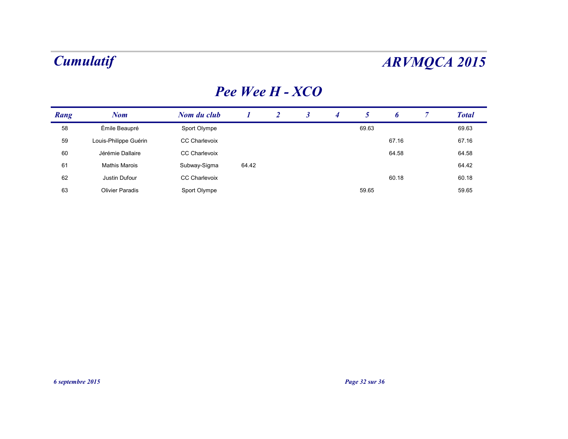### *Pee Wee H - XCO*

| Rang | Nom                    | Nom du club          |       | $\overline{2}$ | 4 |       | D     | <b>Total</b> |
|------|------------------------|----------------------|-------|----------------|---|-------|-------|--------------|
| 58   | Émile Beaupré          | Sport Olympe         |       |                |   | 69.63 |       | 69.63        |
| 59   | Louis-Philippe Guérin  | <b>CC Charlevoix</b> |       |                |   |       | 67.16 | 67.16        |
| 60   | Jérémie Dallaire       | CC Charlevoix        |       |                |   |       | 64.58 | 64.58        |
| 61   | <b>Mathis Marois</b>   | Subway-Sigma         | 64.42 |                |   |       |       | 64.42        |
| 62   | Justin Dufour          | <b>CC Charlevoix</b> |       |                |   |       | 60.18 | 60.18        |
| 63   | <b>Olivier Paradis</b> | Sport Olympe         |       |                |   | 59.65 |       | 59.65        |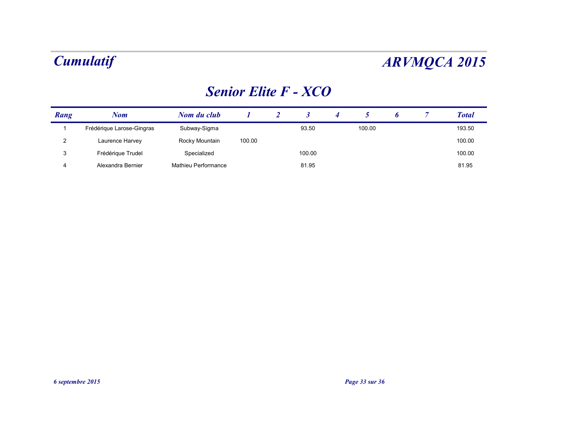### *Senior Elite F - XCO*

| Rang | Nom                       | Nom du club         |        |        |        |  | <b>Total</b> |
|------|---------------------------|---------------------|--------|--------|--------|--|--------------|
|      | Frédérique Larose-Gingras | Subway-Sigma        |        | 93.50  | 100.00 |  | 193.50       |
| 2    | Laurence Harvey           | Rocky Mountain      | 100.00 |        |        |  | 100.00       |
| 3    | Frédérique Trudel         | Specialized         |        | 100.00 |        |  | 100.00       |
| 4    | Alexandra Bernier         | Mathieu Performance |        | 81.95  |        |  | 81.95        |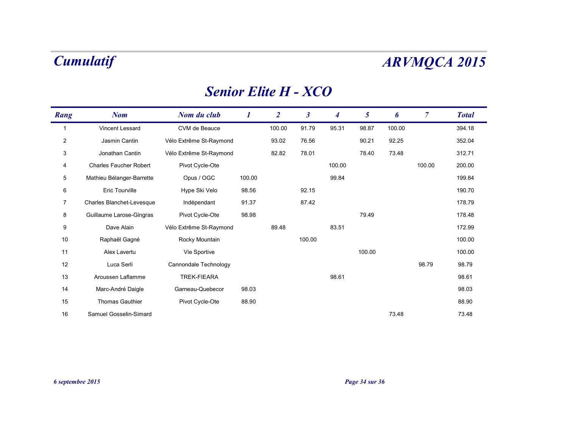### *Senior Elite H - XCO*

| Rang           | <b>Nom</b>                    | Nom du club             |        | $\overline{2}$ | $\boldsymbol{\beta}$ | $\boldsymbol{4}$ | 5      | 6      | $\overline{7}$ | <b>Total</b> |
|----------------|-------------------------------|-------------------------|--------|----------------|----------------------|------------------|--------|--------|----------------|--------------|
| 1              | Vincent Lessard               | CVM de Beauce           |        | 100.00         | 91.79                | 95.31            | 98.87  | 100.00 |                | 394.18       |
| $\overline{2}$ | Jasmin Cantin                 | Vélo Extrême St-Raymond |        | 93.02          | 76.56                |                  | 90.21  | 92.25  |                | 352.04       |
| 3              | Jonathan Cantin               | Vélo Extrême St-Raymond |        | 82.82          | 78.01                |                  | 78.40  | 73.48  |                | 312.71       |
| 4              | <b>Charles Faucher Robert</b> | Pivot Cycle-Ote         |        |                |                      | 100.00           |        |        | 100.00         | 200.00       |
| $\overline{5}$ | Mathieu Bélanger-Barrette     | Opus / OGC              | 100.00 |                |                      | 99.84            |        |        |                | 199.84       |
| 6              | <b>Eric Tourville</b>         | Hype Ski Velo           | 98.56  |                | 92.15                |                  |        |        |                | 190.70       |
| 7              | Charles Blanchet-Levesque     | Indépendant             | 91.37  |                | 87.42                |                  |        |        |                | 178.79       |
| 8              | Guillaume Larose-Gingras      | Pivot Cycle-Ote         | 98.98  |                |                      |                  | 79.49  |        |                | 178.48       |
| 9              | Dave Alain                    | Vélo Extrême St-Raymond |        | 89.48          |                      | 83.51            |        |        |                | 172.99       |
| 10             | Raphaël Gagné                 | Rocky Mountain          |        |                | 100.00               |                  |        |        |                | 100.00       |
| 11             | Alex Lavertu                  | Vie Sportive            |        |                |                      |                  | 100.00 |        |                | 100.00       |
| 12             | Luca Serli                    | Cannondale Technology   |        |                |                      |                  |        |        | 98.79          | 98.79        |
| 13             | Aroussen Laflamme             | <b>TREK-FIEARA</b>      |        |                |                      | 98.61            |        |        |                | 98.61        |
| 14             | Marc-André Daigle             | Garneau-Quebecor        | 98.03  |                |                      |                  |        |        |                | 98.03        |
| 15             | <b>Thomas Gauthier</b>        | Pivot Cycle-Ote         | 88.90  |                |                      |                  |        |        |                | 88.90        |
| 16             | Samuel Gosselin-Simard        |                         |        |                |                      |                  |        | 73.48  |                | 73.48        |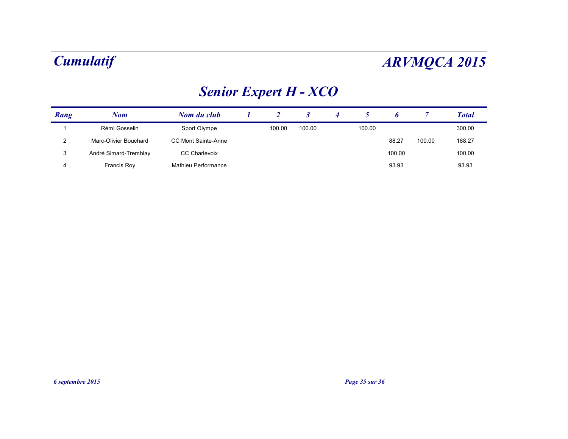# *Senior Expert H - XCO*

| Rang | Nom                   | Nom du club          |        |        |        |        |        | <b>Total</b> |
|------|-----------------------|----------------------|--------|--------|--------|--------|--------|--------------|
|      | Rémi Gosselin         | Sport Olympe         | 100.00 | 100.00 | 100.00 |        |        | 300.00       |
| 2    | Marc-Olivier Bouchard | CC Mont Sainte-Anne  |        |        |        | 88.27  | 100.00 | 188.27       |
| 3    | André Simard-Tremblay | <b>CC Charlevoix</b> |        |        |        | 100.00 |        | 100.00       |
| 4    | Francis Roy           | Mathieu Performance  |        |        |        | 93.93  |        | 93.93        |